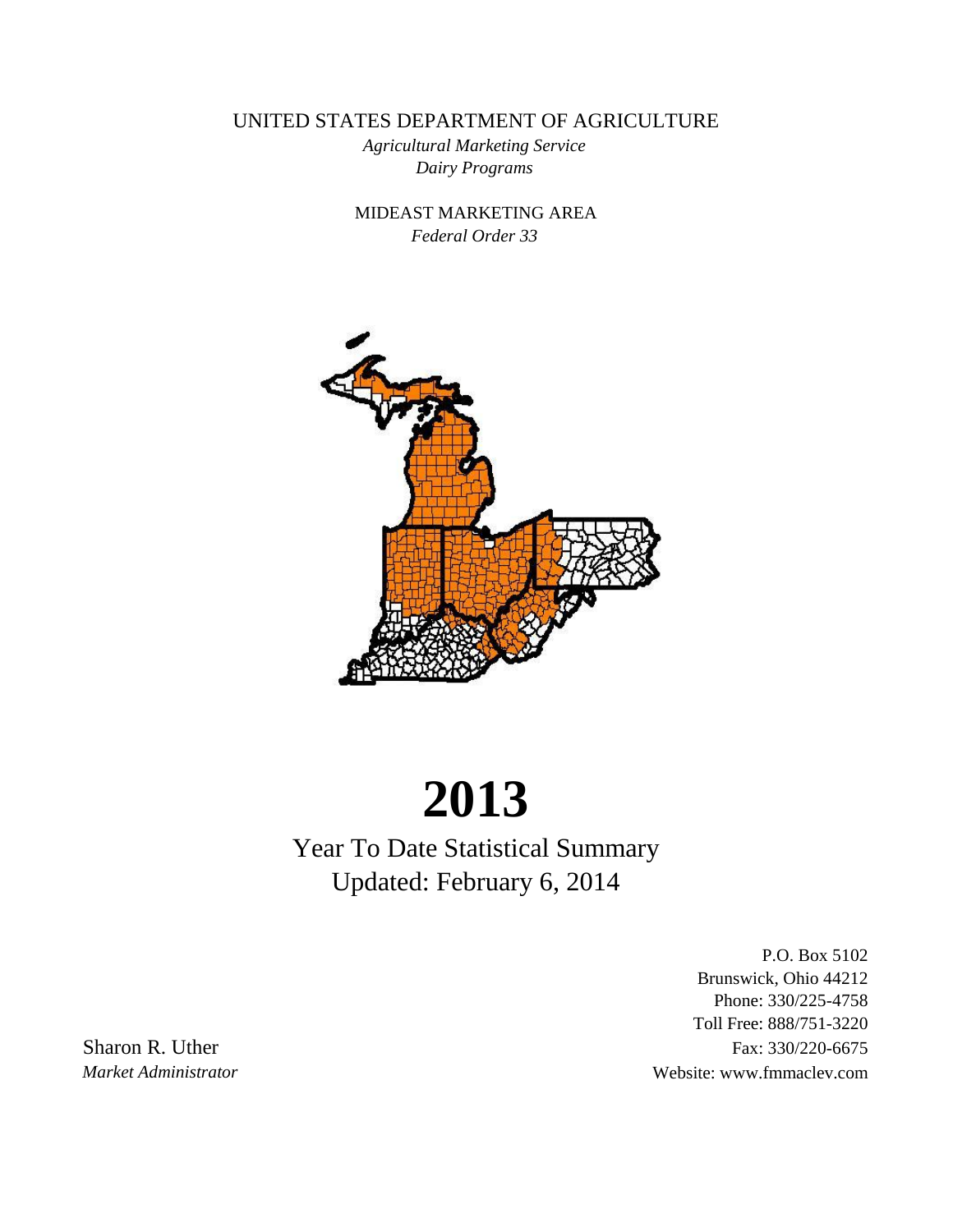UNITED STATES DEPARTMENT OF AGRICULTURE

*Dairy Programs Agricultural Marketing Service*

*Federal Order 33* MIDEAST MARKETING AREA



# **2013**

Year To Date Statistical Summary Updated: February 6, 2014

P.O. Box 5102 Brunswick, Ohio 44212 Phone: 330/225-4758 Toll Free: 888/751-3220 Sharon R. Uther Fax: 330/220-6675 *Market Administrator* Website: www.fmmaclev.com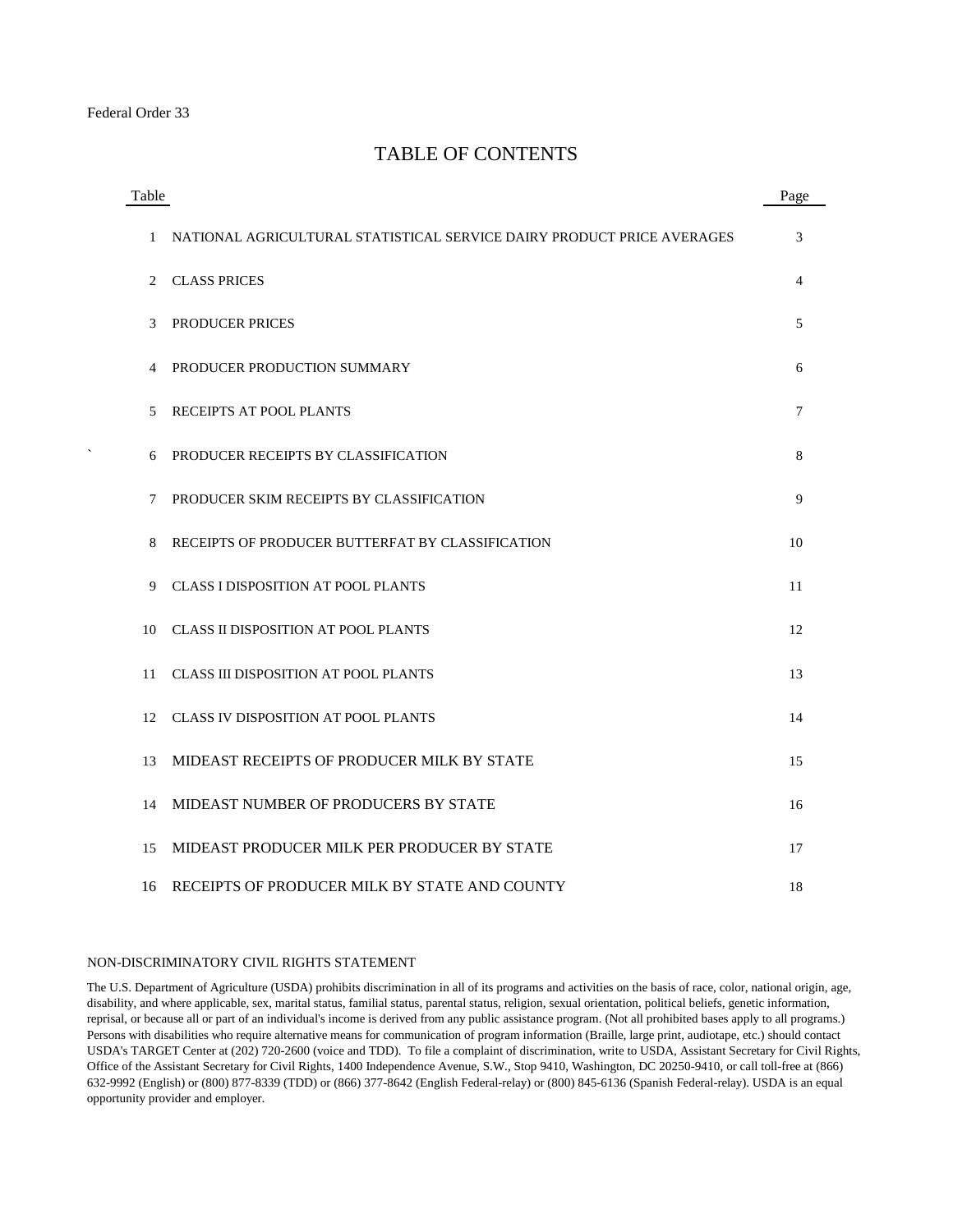#### TABLE OF CONTENTS

| Table        |                                                                        | Page |
|--------------|------------------------------------------------------------------------|------|
| $\mathbf{1}$ | NATIONAL AGRICULTURAL STATISTICAL SERVICE DAIRY PRODUCT PRICE AVERAGES | 3    |
| 2            | <b>CLASS PRICES</b>                                                    | 4    |
| 3            | PRODUCER PRICES                                                        | 5    |
| 4            | PRODUCER PRODUCTION SUMMARY                                            | 6    |
| 5            | RECEIPTS AT POOL PLANTS                                                | 7    |
| 6            | PRODUCER RECEIPTS BY CLASSIFICATION                                    | 8    |
| 7            | PRODUCER SKIM RECEIPTS BY CLASSIFICATION                               | 9    |
| 8            | RECEIPTS OF PRODUCER BUTTERFAT BY CLASSIFICATION                       | 10   |
| 9            | <b>CLASS I DISPOSITION AT POOL PLANTS</b>                              | 11   |
| 10           | <b>CLASS II DISPOSITION AT POOL PLANTS</b>                             | 12   |
| 11           | <b>CLASS III DISPOSITION AT POOL PLANTS</b>                            | 13   |
| 12           | <b>CLASS IV DISPOSITION AT POOL PLANTS</b>                             | 14   |
| 13           | MIDEAST RECEIPTS OF PRODUCER MILK BY STATE                             | 15   |
| 14           | MIDEAST NUMBER OF PRODUCERS BY STATE                                   | 16   |
| 15           | MIDEAST PRODUCER MILK PER PRODUCER BY STATE                            | 17   |
| 16           | RECEIPTS OF PRODUCER MILK BY STATE AND COUNTY                          | 18   |

#### NON-DISCRIMINATORY CIVIL RIGHTS STATEMENT

The U.S. Department of Agriculture (USDA) prohibits discrimination in all of its programs and activities on the basis of race, color, national origin, age, disability, and where applicable, sex, marital status, familial status, parental status, religion, sexual orientation, political beliefs, genetic information, reprisal, or because all or part of an individual's income is derived from any public assistance program. (Not all prohibited bases apply to all programs.) Persons with disabilities who require alternative means for communication of program information (Braille, large print, audiotape, etc.) should contact USDA's TARGET Center at (202) 720-2600 (voice and TDD). To file a complaint of discrimination, write to USDA, Assistant Secretary for Civil Rights, Office of the Assistant Secretary for Civil Rights, 1400 Independence Avenue, S.W., Stop 9410, Washington, DC 20250-9410, or call toll-free at (866) 632-9992 (English) or (800) 877-8339 (TDD) or (866) 377-8642 (English Federal-relay) or (800) 845-6136 (Spanish Federal-relay). USDA is an equal opportunity provider and employer.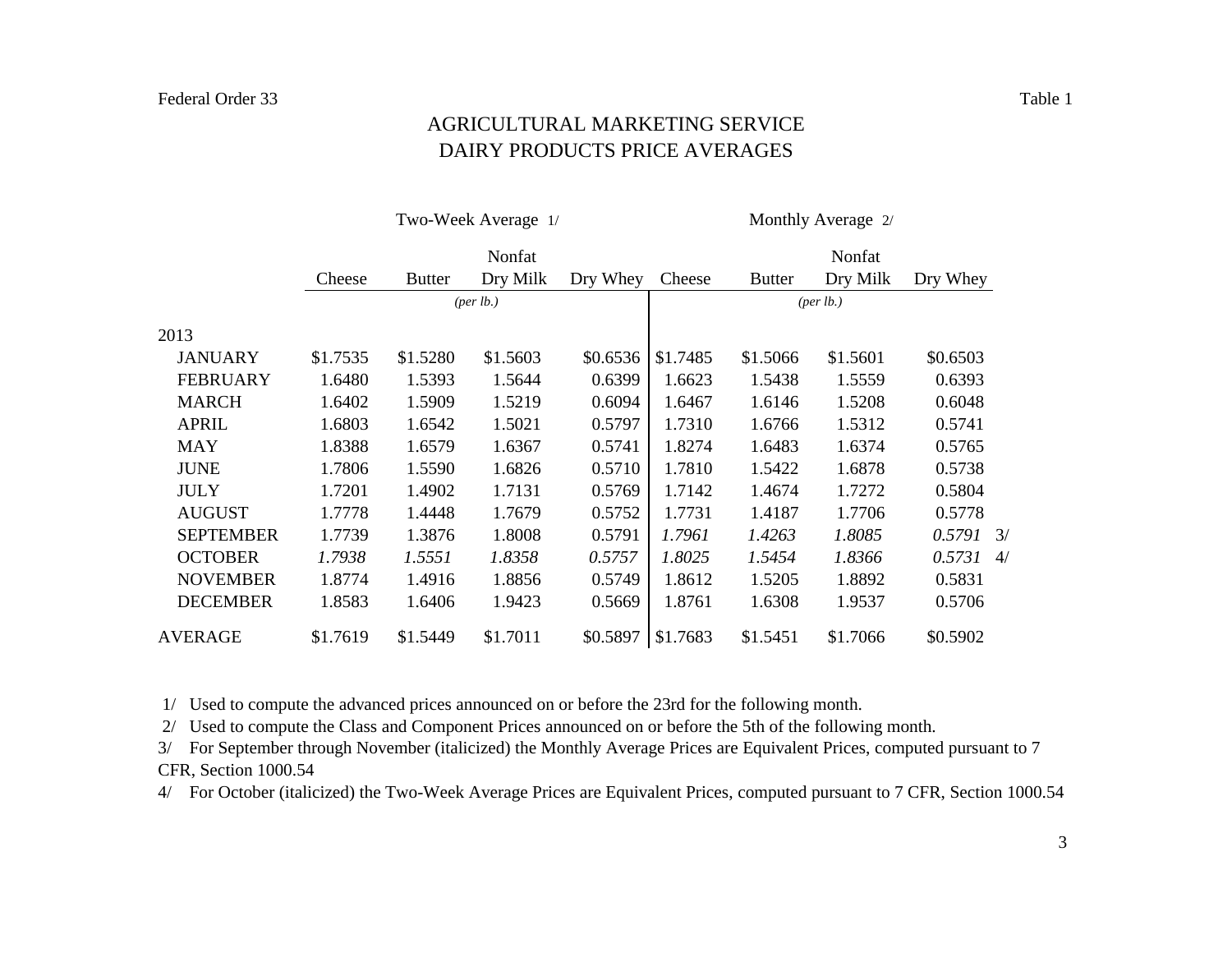#### DAIRY PRODUCTS PRICE AVERAGES AGRICULTURAL MARKETING SERVICE

|                  |          |               | Two-Week Average 1/               |          | Monthly Average 2/ |               |           |              |  |  |
|------------------|----------|---------------|-----------------------------------|----------|--------------------|---------------|-----------|--------------|--|--|
|                  |          |               | Nonfat                            |          | Nonfat             |               |           |              |  |  |
|                  | Cheese   | <b>Butter</b> | Dry Milk                          | Dry Whey | Cheese             | <b>Butter</b> | Dry Milk  | Dry Whey     |  |  |
|                  |          |               | ${\left( \text{per lb.} \right)}$ |          |                    |               | (per lb.) |              |  |  |
| 2013             |          |               |                                   |          |                    |               |           |              |  |  |
| <b>JANUARY</b>   | \$1.7535 | \$1.5280      | \$1.5603                          | \$0.6536 | \$1.7485           | \$1.5066      | \$1.5601  | \$0.6503     |  |  |
| <b>FEBRUARY</b>  | 1.6480   | 1.5393        | 1.5644                            | 0.6399   | 1.6623             | 1.5438        | 1.5559    | 0.6393       |  |  |
| <b>MARCH</b>     | 1.6402   | 1.5909        | 1.5219                            | 0.6094   | 1.6467             | 1.6146        | 1.5208    | 0.6048       |  |  |
| <b>APRIL</b>     | 1.6803   | 1.6542        | 1.5021                            | 0.5797   | 1.7310             | 1.6766        | 1.5312    | 0.5741       |  |  |
| <b>MAY</b>       | 1.8388   | 1.6579        | 1.6367                            | 0.5741   | 1.8274             | 1.6483        | 1.6374    | 0.5765       |  |  |
| <b>JUNE</b>      | 1.7806   | 1.5590        | 1.6826                            | 0.5710   | 1.7810             | 1.5422        | 1.6878    | 0.5738       |  |  |
| <b>JULY</b>      | 1.7201   | 1.4902        | 1.7131                            | 0.5769   | 1.7142             | 1.4674        | 1.7272    | 0.5804       |  |  |
| <b>AUGUST</b>    | 1.7778   | 1.4448        | 1.7679                            | 0.5752   | 1.7731             | 1.4187        | 1.7706    | 0.5778       |  |  |
| <b>SEPTEMBER</b> | 1.7739   | 1.3876        | 1.8008                            | 0.5791   | 1.7961             | 1.4263        | 1.8085    | $0.5791$ 3/  |  |  |
| <b>OCTOBER</b>   | 1.7938   | 1.5551        | 1.8358                            | 0.5757   | 1.8025             | 1.5454        | 1.8366    | $0.5731 - 4$ |  |  |
| <b>NOVEMBER</b>  | 1.8774   | 1.4916        | 1.8856                            | 0.5749   | 1.8612             | 1.5205        | 1.8892    | 0.5831       |  |  |
| <b>DECEMBER</b>  | 1.8583   | 1.6406        | 1.9423                            | 0.5669   | 1.8761             | 1.6308        | 1.9537    | 0.5706       |  |  |
| <b>AVERAGE</b>   | \$1.7619 | \$1.5449      | \$1.7011                          | \$0.5897 | \$1.7683           | \$1.5451      | \$1.7066  | \$0.5902     |  |  |

1/ Used to compute the advanced prices announced on or before the 23rd for the following month.

2/ Used to compute the Class and Component Prices announced on or before the 5th of the following month.

3/ For September through November (italicized) the Monthly Average Prices are Equivalent Prices, computed pursuant to 7 CFR, Section 1000.54

4/ For October (italicized) the Two-Week Average Prices are Equivalent Prices, computed pursuant to 7 CFR, Section 1000.54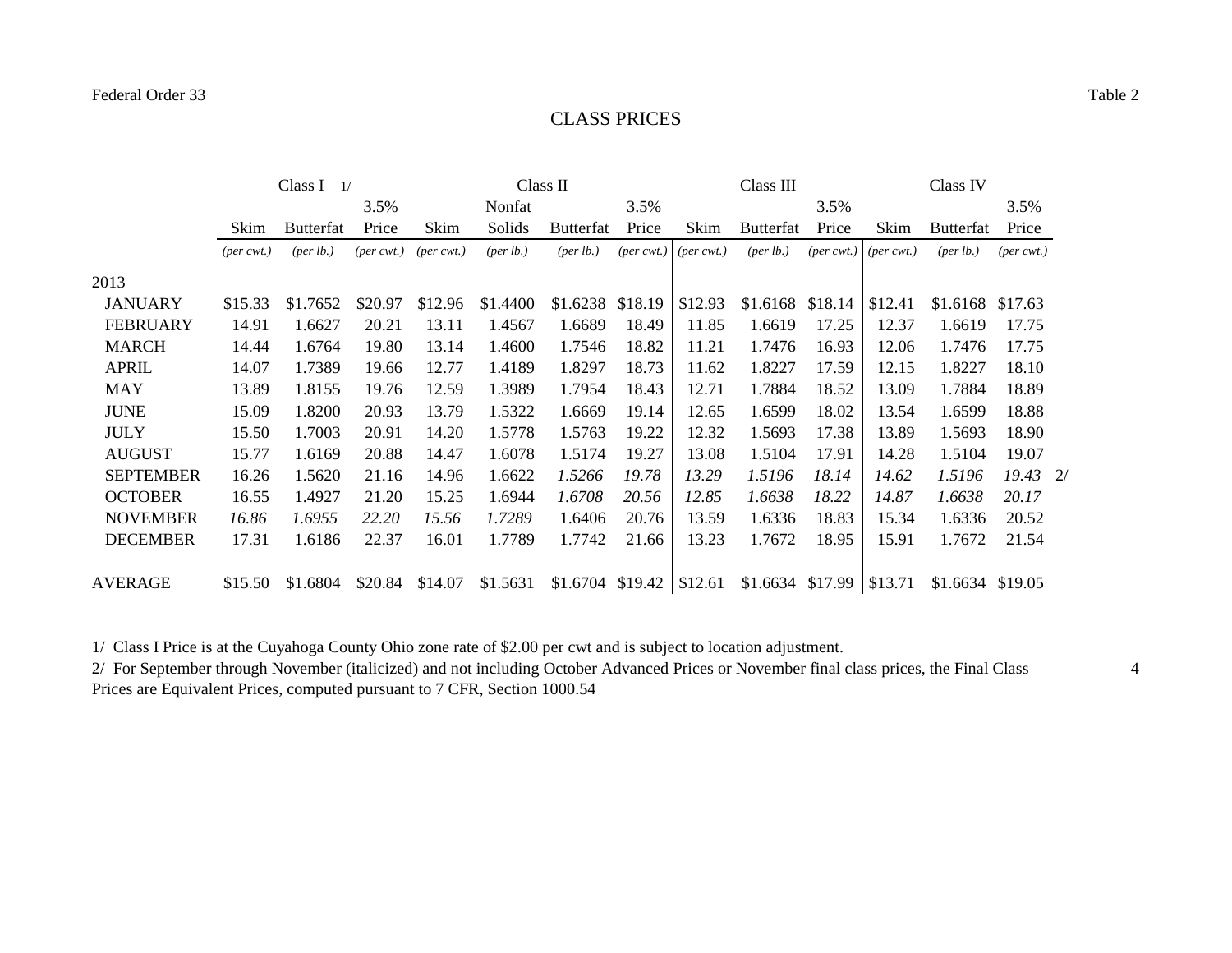#### CLASS PRICES

|                  | Class I<br>1/               |                                   |                             |                             |                      | Class II                    |         |                                 | Class III                   |       |                                 | Class IV             |                             |  |
|------------------|-----------------------------|-----------------------------------|-----------------------------|-----------------------------|----------------------|-----------------------------|---------|---------------------------------|-----------------------------|-------|---------------------------------|----------------------|-----------------------------|--|
|                  |                             |                                   | 3.5%                        |                             | Nonfat               |                             | 3.5%    |                                 |                             | 3.5%  |                                 |                      | 3.5%                        |  |
|                  | Skim                        | <b>Butterfat</b>                  | Price                       | Skim                        | Solids               | <b>Butterfat</b>            | Price   | Skim                            | <b>Butterfat</b>            | Price | Skim                            | <b>Butterfat</b>     | Price                       |  |
|                  | $(\text{per} \text{ cwt.})$ | ${\left( \text{per lb.} \right)}$ | $(\text{per} \text{ cwt.})$ | $(\text{per} \text{ cwt.})$ | ${\rm (per \, lb.)}$ | (per lb.)                   |         | ${\rm (per\, cut.)}$ (per cwt.) | ${\rm (per \, lb.)}$        |       | $(per\,\,(per\,;1))$ (per cwt.) | ${\rm (per \, lb.)}$ | $(\text{per} \text{ cwt.})$ |  |
| 2013             |                             |                                   |                             |                             |                      |                             |         |                                 |                             |       |                                 |                      |                             |  |
| <b>JANUARY</b>   | \$15.33                     | \$1.7652                          | \$20.97                     | \$12.96                     | \$1.4400             | \$1.6238                    | \$18.19 | \$12.93                         | $$1.6168$ $$18.14$          |       | \$12.41                         | \$1.6168             | \$17.63                     |  |
| <b>FEBRUARY</b>  | 14.91                       | 1.6627                            | 20.21                       | 13.11                       | 1.4567               | 1.6689                      | 18.49   | 11.85                           | 1.6619                      | 17.25 | 12.37                           | 1.6619               | 17.75                       |  |
| <b>MARCH</b>     | 14.44                       | 1.6764                            | 19.80                       | 13.14                       | 1.4600               | 1.7546                      | 18.82   | 11.21                           | 1.7476                      | 16.93 | 12.06                           | 1.7476               | 17.75                       |  |
| <b>APRIL</b>     | 14.07                       | 1.7389                            | 19.66                       | 12.77                       | 1.4189               | 1.8297                      | 18.73   | 11.62                           | 1.8227                      | 17.59 | 12.15                           | 1.8227               | 18.10                       |  |
| <b>MAY</b>       | 13.89                       | 1.8155                            | 19.76                       | 12.59                       | 1.3989               | 1.7954                      | 18.43   | 12.71                           | 1.7884                      | 18.52 | 13.09                           | 1.7884               | 18.89                       |  |
| <b>JUNE</b>      | 15.09                       | 1.8200                            | 20.93                       | 13.79                       | 1.5322               | 1.6669                      | 19.14   | 12.65                           | 1.6599                      | 18.02 | 13.54                           | 1.6599               | 18.88                       |  |
| <b>JULY</b>      | 15.50                       | 1.7003                            | 20.91                       | 14.20                       | 1.5778               | 1.5763                      | 19.22   | 12.32                           | 1.5693                      | 17.38 | 13.89                           | 1.5693               | 18.90                       |  |
| <b>AUGUST</b>    | 15.77                       | 1.6169                            | 20.88                       | 14.47                       | 1.6078               | 1.5174                      | 19.27   | 13.08                           | 1.5104                      | 17.91 | 14.28                           | 1.5104               | 19.07                       |  |
| <b>SEPTEMBER</b> | 16.26                       | 1.5620                            | 21.16                       | 14.96                       | 1.6622               | 1.5266                      | 19.78   | 13.29                           | 1.5196                      | 18.14 | 14.62                           | 1.5196               | $19.43 \quad 2/$            |  |
| <b>OCTOBER</b>   | 16.55                       | 1.4927                            | 21.20                       | 15.25                       | 1.6944               | 1.6708                      | 20.56   | 12.85                           | 1.6638                      | 18.22 | 14.87                           | 1.6638               | 20.17                       |  |
| <b>NOVEMBER</b>  | 16.86                       | 1.6955                            | 22.20                       | 15.56                       | 1.7289               | 1.6406                      | 20.76   | 13.59                           | 1.6336                      | 18.83 | 15.34                           | 1.6336               | 20.52                       |  |
| <b>DECEMBER</b>  | 17.31                       | 1.6186                            | 22.37                       | 16.01                       | 1.7789               | 1.7742                      | 21.66   | 13.23                           | 1.7672                      | 18.95 | 15.91                           | 1.7672               | 21.54                       |  |
| <b>AVERAGE</b>   | \$15.50                     | \$1.6804                          | $$20.84$   \$14.07          |                             | \$1.5631             | $$1.6704$ $$19.42$ $$12.61$ |         |                                 | $$1.6634$ \$17.99 \ \$13.71 |       |                                 | \$1.6634 \$19.05     |                             |  |

1/ Class I Price is at the Cuyahoga County Ohio zone rate of \$2.00 per cwt and is subject to location adjustment.

2/ For September through November (italicized) and not including October Advanced Prices or November final class prices, the Final Class Prices are Equivalent Prices, computed pursuant to 7 CFR, Section 1000.54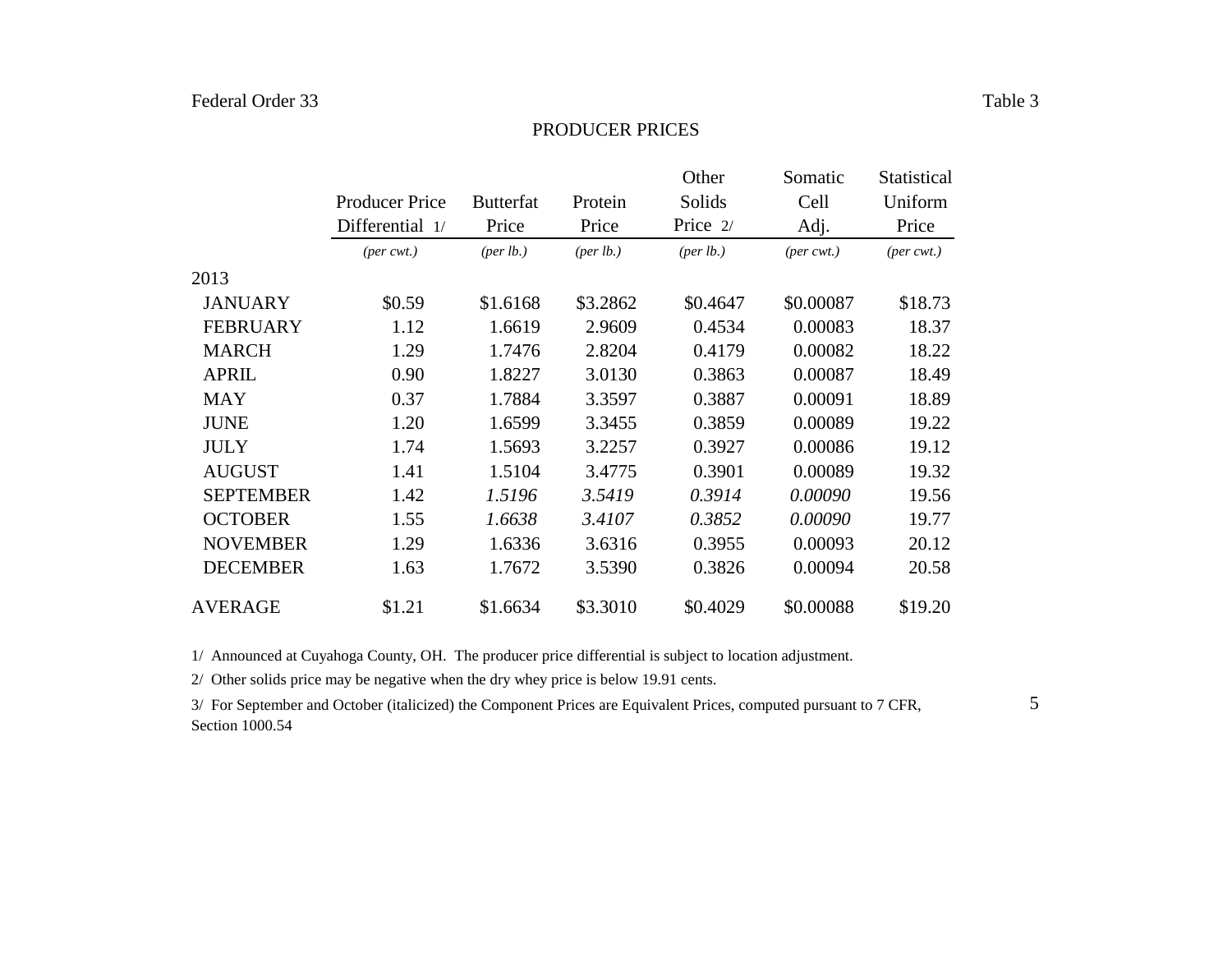#### PRODUCER PRICES

|                  |                             |                      |                    | Other                | Somatic                | <b>Statistical</b> |
|------------------|-----------------------------|----------------------|--------------------|----------------------|------------------------|--------------------|
|                  | <b>Producer Price</b>       | <b>Butterfat</b>     | Protein            | Solids               | Cell                   | Uniform            |
|                  | Differential 1/             | Price                | Price              | Price 2/             | Adj.                   | Price              |
|                  | $(\text{per} \text{ cwt.})$ | ${\rm (per \, lb.)}$ | $(\text{per lb.})$ | ${\rm (per \, lb.)}$ | $(per\,\mathit{cwt.})$ | $(per\, cwt.)$     |
| 2013             |                             |                      |                    |                      |                        |                    |
| <b>JANUARY</b>   | \$0.59                      | \$1.6168             | \$3.2862           | \$0.4647             | \$0.00087              | \$18.73            |
| <b>FEBRUARY</b>  | 1.12                        | 1.6619               | 2.9609             | 0.4534               | 0.00083                | 18.37              |
| <b>MARCH</b>     | 1.29                        | 1.7476               | 2.8204             | 0.4179               | 0.00082                | 18.22              |
| <b>APRIL</b>     | 0.90                        | 1.8227               | 3.0130             | 0.3863               | 0.00087                | 18.49              |
| <b>MAY</b>       | 0.37                        | 1.7884               | 3.3597             | 0.3887               | 0.00091                | 18.89              |
| <b>JUNE</b>      | 1.20                        | 1.6599               | 3.3455             | 0.3859               | 0.00089                | 19.22              |
| <b>JULY</b>      | 1.74                        | 1.5693               | 3.2257             | 0.3927               | 0.00086                | 19.12              |
| <b>AUGUST</b>    | 1.41                        | 1.5104               | 3.4775             | 0.3901               | 0.00089                | 19.32              |
| <b>SEPTEMBER</b> | 1.42                        | 1.5196               | 3.5419             | 0.3914               | 0.00090                | 19.56              |
| <b>OCTOBER</b>   | 1.55                        | 1.6638               | 3.4107             | 0.3852               | 0.00090                | 19.77              |
| <b>NOVEMBER</b>  | 1.29                        | 1.6336               | 3.6316             | 0.3955               | 0.00093                | 20.12              |
| <b>DECEMBER</b>  | 1.63                        | 1.7672               | 3.5390             | 0.3826               | 0.00094                | 20.58              |
| <b>AVERAGE</b>   | \$1.21                      | \$1.6634             | \$3.3010           | \$0.4029             | \$0.00088              | \$19.20            |

1/ Announced at Cuyahoga County, OH. The producer price differential is subject to location adjustment.

2/ Other solids price may be negative when the dry whey price is below 19.91 cents.

3/ For September and October (italicized) the Component Prices are Equivalent Prices, computed pursuant to 7 CFR, Section 1000.54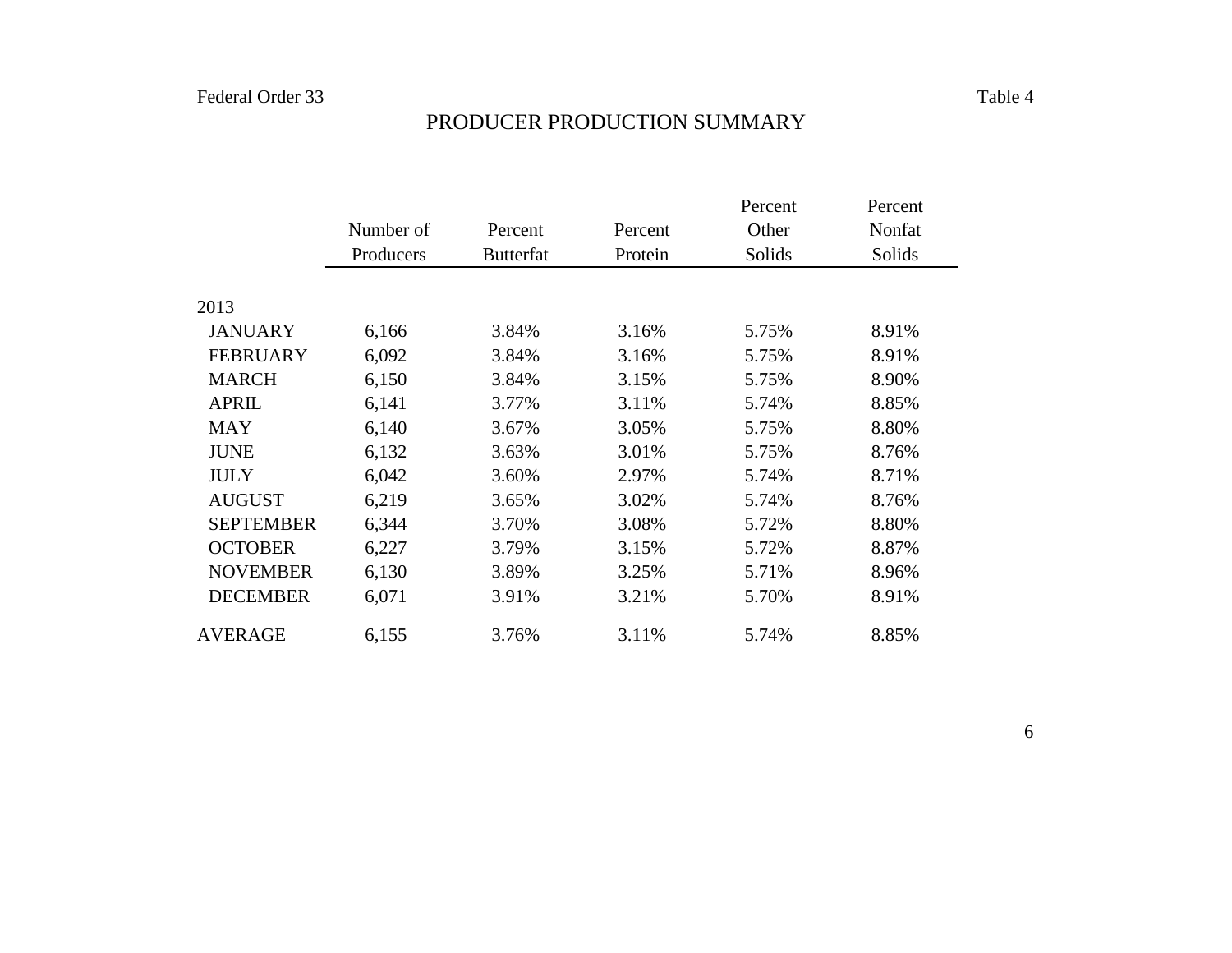# PRODUCER PRODUCTION SUMMARY

|                  |           |                  |         | Percent | Percent |
|------------------|-----------|------------------|---------|---------|---------|
|                  | Number of | Percent          | Percent | Other   | Nonfat  |
|                  | Producers | <b>Butterfat</b> | Protein | Solids  | Solids  |
|                  |           |                  |         |         |         |
| 2013             |           |                  |         |         |         |
| <b>JANUARY</b>   | 6,166     | 3.84%            | 3.16%   | 5.75%   | 8.91%   |
| <b>FEBRUARY</b>  | 6,092     | 3.84%            | 3.16%   | 5.75%   | 8.91%   |
| <b>MARCH</b>     | 6,150     | 3.84%            | 3.15%   | 5.75%   | 8.90%   |
| <b>APRIL</b>     | 6,141     | 3.77%            | 3.11%   | 5.74%   | 8.85%   |
| <b>MAY</b>       | 6,140     | 3.67%            | 3.05%   | 5.75%   | 8.80%   |
| <b>JUNE</b>      | 6,132     | 3.63%            | 3.01%   | 5.75%   | 8.76%   |
| <b>JULY</b>      | 6,042     | 3.60%            | 2.97%   | 5.74%   | 8.71%   |
| <b>AUGUST</b>    | 6,219     | 3.65%            | 3.02%   | 5.74%   | 8.76%   |
| <b>SEPTEMBER</b> | 6,344     | 3.70%            | 3.08%   | 5.72%   | 8.80%   |
| <b>OCTOBER</b>   | 6,227     | 3.79%            | 3.15%   | 5.72%   | 8.87%   |
| <b>NOVEMBER</b>  | 6,130     | 3.89%            | 3.25%   | 5.71%   | 8.96%   |
| <b>DECEMBER</b>  | 6,071     | 3.91%            | 3.21%   | 5.70%   | 8.91%   |
| AVERAGE          | 6,155     | 3.76%            | 3.11%   | 5.74%   | 8.85%   |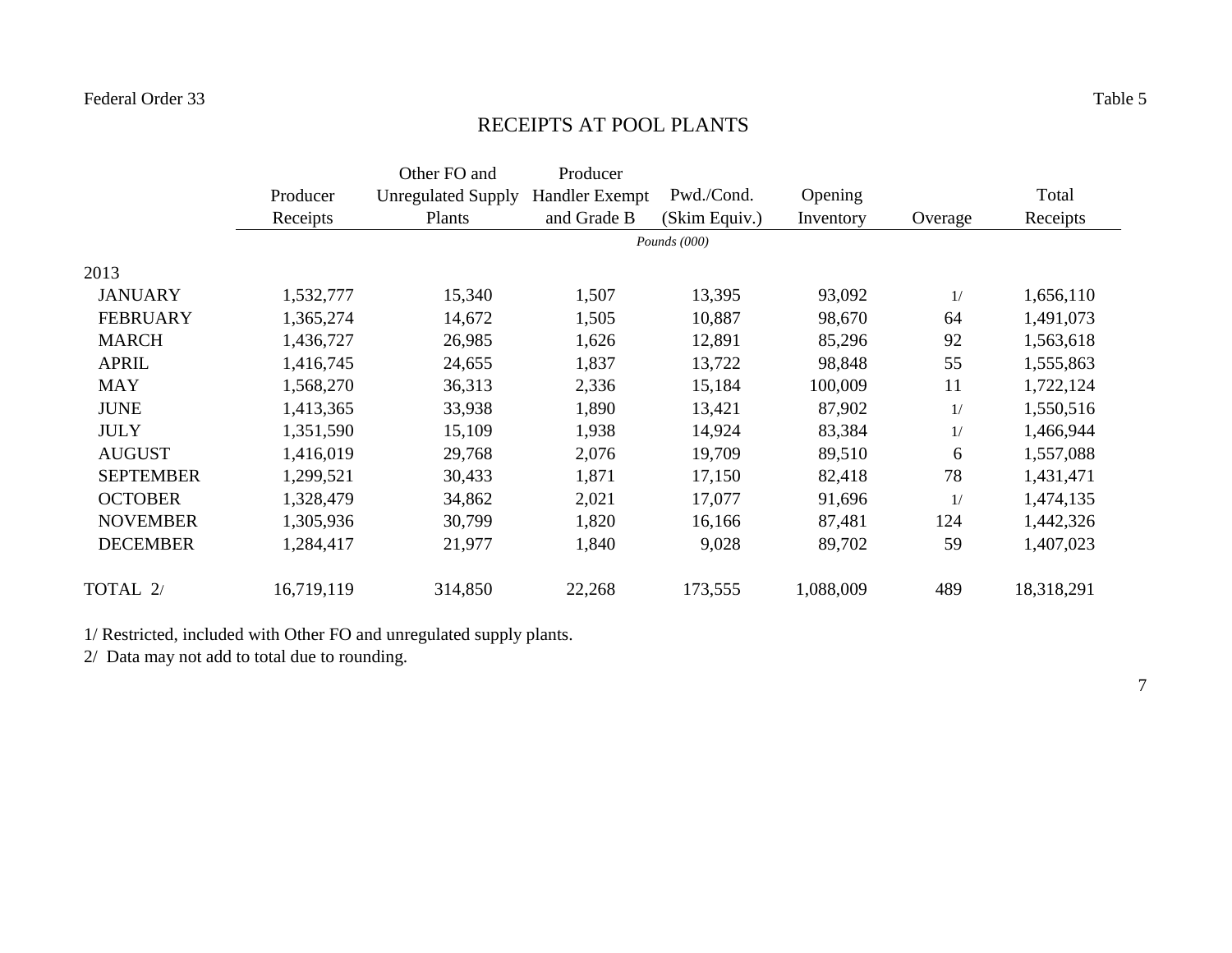#### RECEIPTS AT POOL PLANTS

|                  |            | Other FO and              | Producer              |               |           |         |            |
|------------------|------------|---------------------------|-----------------------|---------------|-----------|---------|------------|
|                  | Producer   | <b>Unregulated Supply</b> | <b>Handler Exempt</b> | Pwd./Cond.    | Opening   |         | Total      |
|                  | Receipts   | Plants                    | and Grade B           | (Skim Equiv.) | Inventory | Overage | Receipts   |
|                  |            |                           |                       | Pounds (000)  |           |         |            |
| 2013             |            |                           |                       |               |           |         |            |
| <b>JANUARY</b>   | 1,532,777  | 15,340                    | 1,507                 | 13,395        | 93,092    | 1/      | 1,656,110  |
| <b>FEBRUARY</b>  | 1,365,274  | 14,672                    | 1,505                 | 10,887        | 98,670    | 64      | 1,491,073  |
| <b>MARCH</b>     | 1,436,727  | 26,985                    | 1,626                 | 12,891        | 85,296    | 92      | 1,563,618  |
| <b>APRIL</b>     | 1,416,745  | 24,655                    | 1,837                 | 13,722        | 98,848    | 55      | 1,555,863  |
| <b>MAY</b>       | 1,568,270  | 36,313                    | 2,336                 | 15,184        | 100,009   | 11      | 1,722,124  |
| <b>JUNE</b>      | 1,413,365  | 33,938                    | 1,890                 | 13,421        | 87,902    | 1/      | 1,550,516  |
| <b>JULY</b>      | 1,351,590  | 15,109                    | 1,938                 | 14,924        | 83,384    | 1/      | 1,466,944  |
| <b>AUGUST</b>    | 1,416,019  | 29,768                    | 2,076                 | 19,709        | 89,510    | 6       | 1,557,088  |
| <b>SEPTEMBER</b> | 1,299,521  | 30,433                    | 1,871                 | 17,150        | 82,418    | 78      | 1,431,471  |
| <b>OCTOBER</b>   | 1,328,479  | 34,862                    | 2,021                 | 17,077        | 91,696    | 1/      | 1,474,135  |
| <b>NOVEMBER</b>  | 1,305,936  | 30,799                    | 1,820                 | 16,166        | 87,481    | 124     | 1,442,326  |
| <b>DECEMBER</b>  | 1,284,417  | 21,977                    | 1,840                 | 9,028         | 89,702    | 59      | 1,407,023  |
| TOTAL 2/         | 16,719,119 | 314,850                   | 22,268                | 173,555       | 1,088,009 | 489     | 18,318,291 |

1/ Restricted, included with Other FO and unregulated supply plants.

2/ Data may not add to total due to rounding.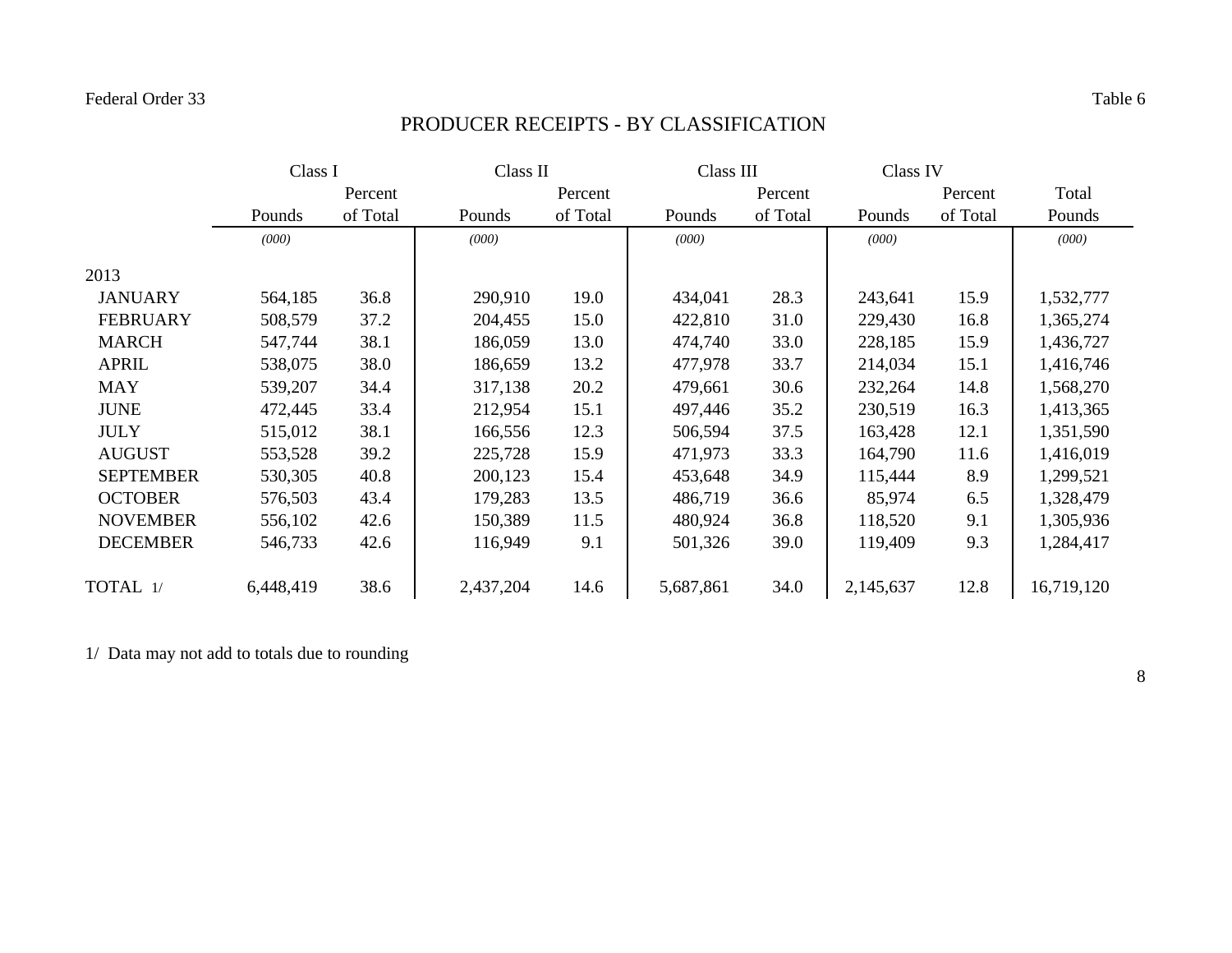# PRODUCER RECEIPTS - BY CLASSIFICATION

|                  | Class I   |          | Class II  |          | Class III |          | Class IV  |          |            |
|------------------|-----------|----------|-----------|----------|-----------|----------|-----------|----------|------------|
|                  |           | Percent  |           | Percent  |           | Percent  |           | Percent  | Total      |
|                  | Pounds    | of Total | Pounds    | of Total | Pounds    | of Total | Pounds    | of Total | Pounds     |
|                  | (000)     |          | (000)     |          | (000)     |          | (000)     |          | (000)      |
| 2013             |           |          |           |          |           |          |           |          |            |
| <b>JANUARY</b>   | 564,185   | 36.8     | 290,910   | 19.0     | 434,041   | 28.3     | 243,641   | 15.9     | 1,532,777  |
| <b>FEBRUARY</b>  | 508,579   | 37.2     | 204,455   | 15.0     | 422,810   | 31.0     | 229,430   | 16.8     | 1,365,274  |
| <b>MARCH</b>     | 547,744   | 38.1     | 186,059   | 13.0     | 474,740   | 33.0     | 228,185   | 15.9     | 1,436,727  |
| <b>APRIL</b>     | 538,075   | 38.0     | 186,659   | 13.2     | 477,978   | 33.7     | 214,034   | 15.1     | 1,416,746  |
| <b>MAY</b>       | 539,207   | 34.4     | 317,138   | 20.2     | 479,661   | 30.6     | 232,264   | 14.8     | 1,568,270  |
| <b>JUNE</b>      | 472,445   | 33.4     | 212,954   | 15.1     | 497,446   | 35.2     | 230,519   | 16.3     | 1,413,365  |
| <b>JULY</b>      | 515,012   | 38.1     | 166,556   | 12.3     | 506,594   | 37.5     | 163,428   | 12.1     | 1,351,590  |
| <b>AUGUST</b>    | 553,528   | 39.2     | 225,728   | 15.9     | 471,973   | 33.3     | 164,790   | 11.6     | 1,416,019  |
| <b>SEPTEMBER</b> | 530,305   | 40.8     | 200,123   | 15.4     | 453,648   | 34.9     | 115,444   | 8.9      | 1,299,521  |
| <b>OCTOBER</b>   | 576,503   | 43.4     | 179,283   | 13.5     | 486,719   | 36.6     | 85,974    | 6.5      | 1,328,479  |
| <b>NOVEMBER</b>  | 556,102   | 42.6     | 150,389   | 11.5     | 480,924   | 36.8     | 118,520   | 9.1      | 1,305,936  |
| <b>DECEMBER</b>  | 546,733   | 42.6     | 116,949   | 9.1      | 501,326   | 39.0     | 119,409   | 9.3      | 1,284,417  |
| TOTAL 1/         | 6,448,419 | 38.6     | 2,437,204 | 14.6     | 5,687,861 | 34.0     | 2,145,637 | 12.8     | 16,719,120 |

1/ Data may not add to totals due to rounding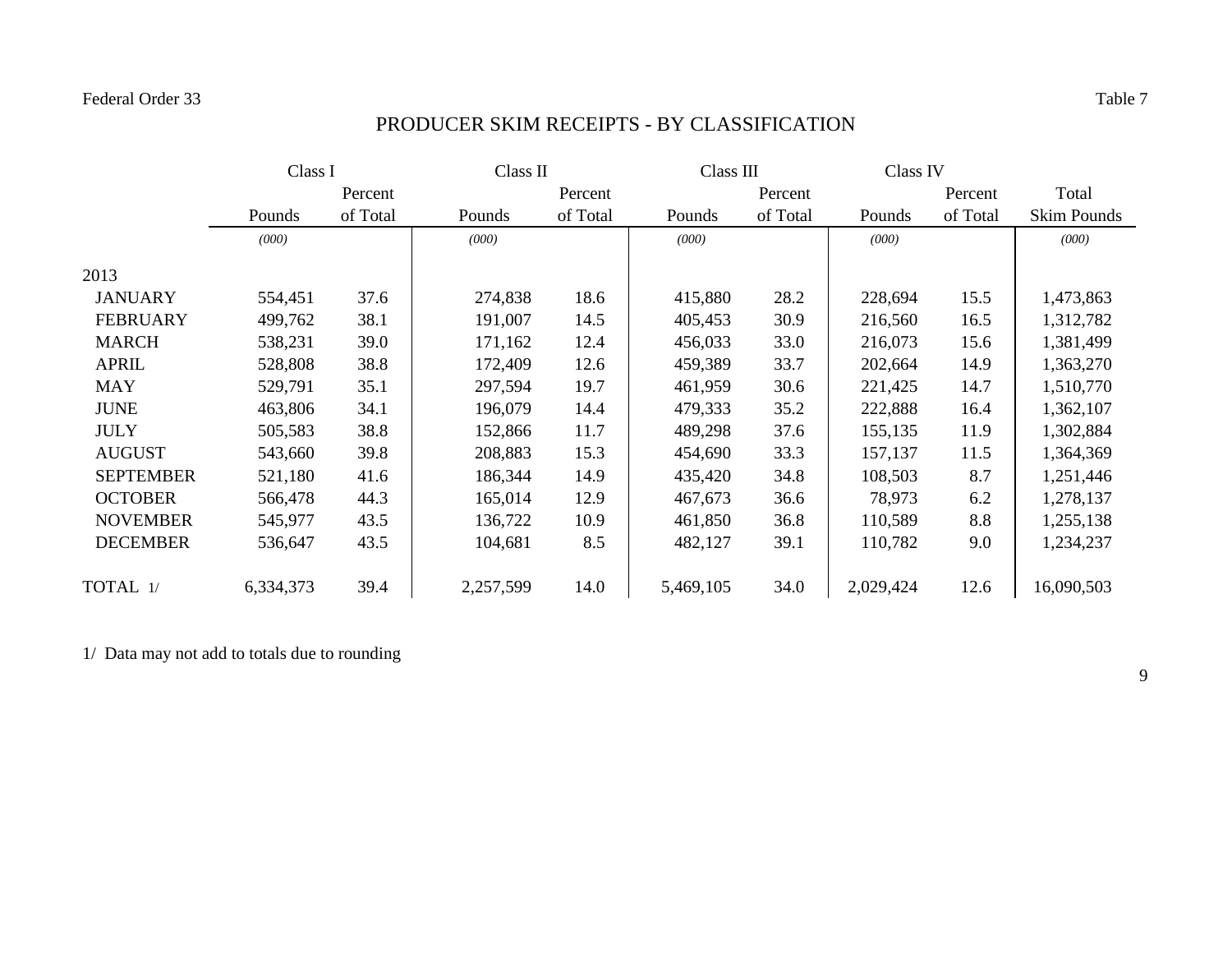# PRODUCER SKIM RECEIPTS - BY CLASSIFICATION

|                  | Class I   |          |           | Class II |           | Class III |           | Class IV |                    |
|------------------|-----------|----------|-----------|----------|-----------|-----------|-----------|----------|--------------------|
|                  |           | Percent  |           | Percent  |           | Percent   |           | Percent  | Total              |
|                  | Pounds    | of Total | Pounds    | of Total | Pounds    | of Total  | Pounds    | of Total | <b>Skim Pounds</b> |
|                  | (000)     |          | (000)     |          | (000)     |           | (000)     |          | (000)              |
| 2013             |           |          |           |          |           |           |           |          |                    |
| <b>JANUARY</b>   | 554,451   | 37.6     | 274,838   | 18.6     | 415,880   | 28.2      | 228,694   | 15.5     | 1,473,863          |
| <b>FEBRUARY</b>  | 499,762   | 38.1     | 191,007   | 14.5     | 405,453   | 30.9      | 216,560   | 16.5     | 1,312,782          |
| <b>MARCH</b>     | 538,231   | 39.0     | 171,162   | 12.4     | 456,033   | 33.0      | 216,073   | 15.6     | 1,381,499          |
| <b>APRIL</b>     | 528,808   | 38.8     | 172,409   | 12.6     | 459,389   | 33.7      | 202,664   | 14.9     | 1,363,270          |
| <b>MAY</b>       | 529,791   | 35.1     | 297,594   | 19.7     | 461,959   | 30.6      | 221,425   | 14.7     | 1,510,770          |
| <b>JUNE</b>      | 463,806   | 34.1     | 196,079   | 14.4     | 479,333   | 35.2      | 222,888   | 16.4     | 1,362,107          |
| <b>JULY</b>      | 505,583   | 38.8     | 152,866   | 11.7     | 489,298   | 37.6      | 155,135   | 11.9     | 1,302,884          |
| <b>AUGUST</b>    | 543,660   | 39.8     | 208,883   | 15.3     | 454,690   | 33.3      | 157,137   | 11.5     | 1,364,369          |
| <b>SEPTEMBER</b> | 521,180   | 41.6     | 186,344   | 14.9     | 435,420   | 34.8      | 108,503   | 8.7      | 1,251,446          |
| <b>OCTOBER</b>   | 566,478   | 44.3     | 165,014   | 12.9     | 467,673   | 36.6      | 78,973    | 6.2      | 1,278,137          |
| <b>NOVEMBER</b>  | 545,977   | 43.5     | 136,722   | 10.9     | 461,850   | 36.8      | 110,589   | 8.8      | 1,255,138          |
| <b>DECEMBER</b>  | 536,647   | 43.5     | 104,681   | 8.5      | 482,127   | 39.1      | 110,782   | 9.0      | 1,234,237          |
| TOTAL 1/         | 6,334,373 | 39.4     | 2,257,599 | 14.0     | 5,469,105 | 34.0      | 2,029,424 | 12.6     | 16,090,503         |

1/ Data may not add to totals due to rounding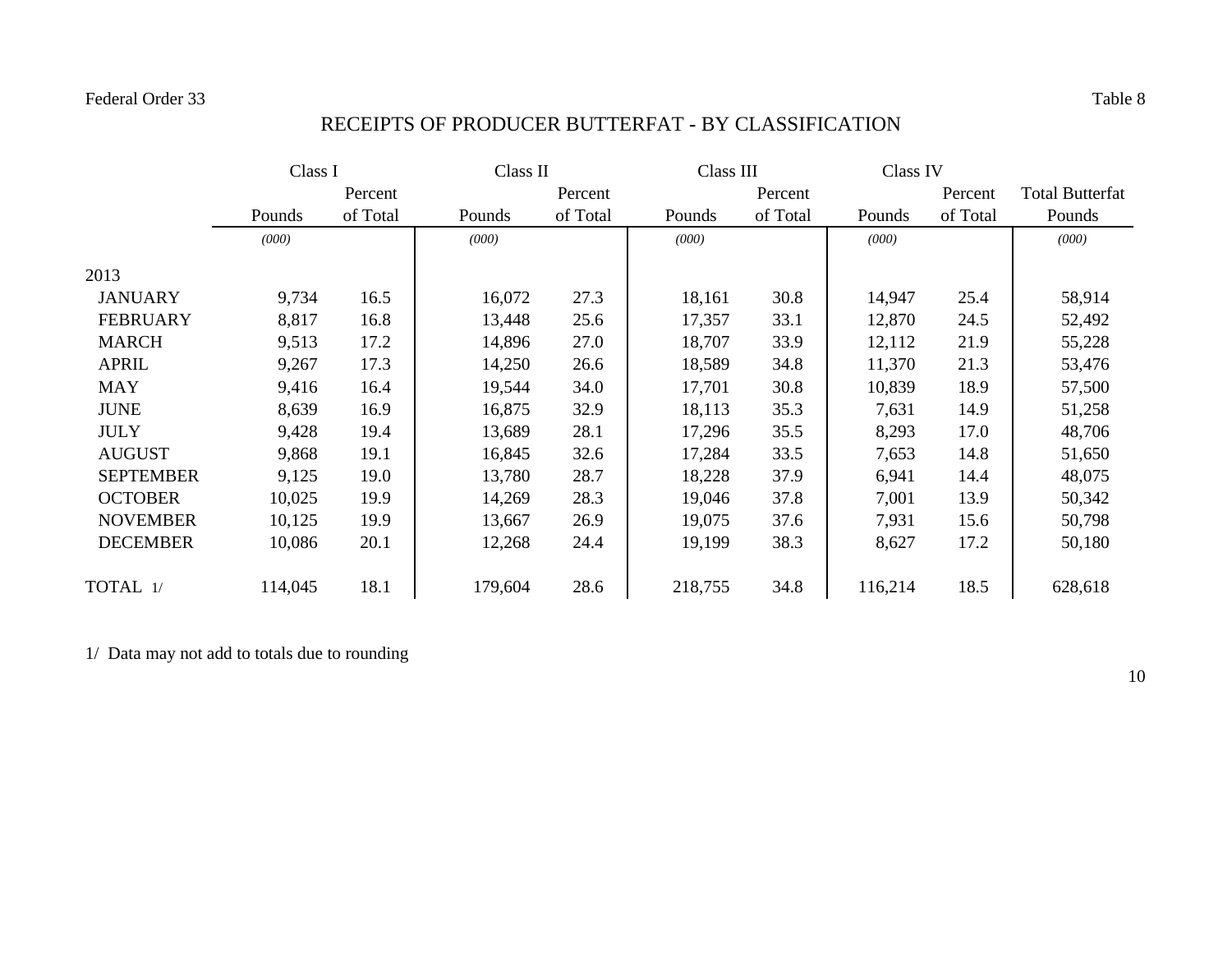## RECEIPTS OF PRODUCER BUTTERFAT - BY CLASSIFICATION

|                  | Class I |          |         | Class II |         | Class III |         | Class IV |                        |
|------------------|---------|----------|---------|----------|---------|-----------|---------|----------|------------------------|
|                  |         | Percent  |         | Percent  |         | Percent   |         | Percent  | <b>Total Butterfat</b> |
|                  | Pounds  | of Total | Pounds  | of Total | Pounds  | of Total  | Pounds  | of Total | Pounds                 |
|                  | (000)   |          | (000)   |          | (000)   |           | (000)   |          | (000)                  |
| 2013             |         |          |         |          |         |           |         |          |                        |
| <b>JANUARY</b>   | 9,734   | 16.5     | 16,072  | 27.3     | 18,161  | 30.8      | 14,947  | 25.4     | 58,914                 |
| <b>FEBRUARY</b>  | 8,817   | 16.8     | 13,448  | 25.6     | 17,357  | 33.1      | 12,870  | 24.5     | 52,492                 |
| <b>MARCH</b>     | 9,513   | 17.2     | 14,896  | 27.0     | 18,707  | 33.9      | 12,112  | 21.9     | 55,228                 |
| <b>APRIL</b>     | 9,267   | 17.3     | 14,250  | 26.6     | 18,589  | 34.8      | 11,370  | 21.3     | 53,476                 |
| <b>MAY</b>       | 9,416   | 16.4     | 19,544  | 34.0     | 17,701  | 30.8      | 10,839  | 18.9     | 57,500                 |
| <b>JUNE</b>      | 8,639   | 16.9     | 16,875  | 32.9     | 18,113  | 35.3      | 7,631   | 14.9     | 51,258                 |
| <b>JULY</b>      | 9,428   | 19.4     | 13,689  | 28.1     | 17,296  | 35.5      | 8,293   | 17.0     | 48,706                 |
| <b>AUGUST</b>    | 9,868   | 19.1     | 16,845  | 32.6     | 17,284  | 33.5      | 7,653   | 14.8     | 51,650                 |
| <b>SEPTEMBER</b> | 9,125   | 19.0     | 13,780  | 28.7     | 18,228  | 37.9      | 6,941   | 14.4     | 48,075                 |
| <b>OCTOBER</b>   | 10,025  | 19.9     | 14,269  | 28.3     | 19,046  | 37.8      | 7,001   | 13.9     | 50,342                 |
| <b>NOVEMBER</b>  | 10,125  | 19.9     | 13,667  | 26.9     | 19,075  | 37.6      | 7,931   | 15.6     | 50,798                 |
| <b>DECEMBER</b>  | 10,086  | 20.1     | 12,268  | 24.4     | 19,199  | 38.3      | 8,627   | 17.2     | 50,180                 |
| TOTAL 1/         | 114,045 | 18.1     | 179,604 | 28.6     | 218,755 | 34.8      | 116,214 | 18.5     | 628,618                |

1/ Data may not add to totals due to rounding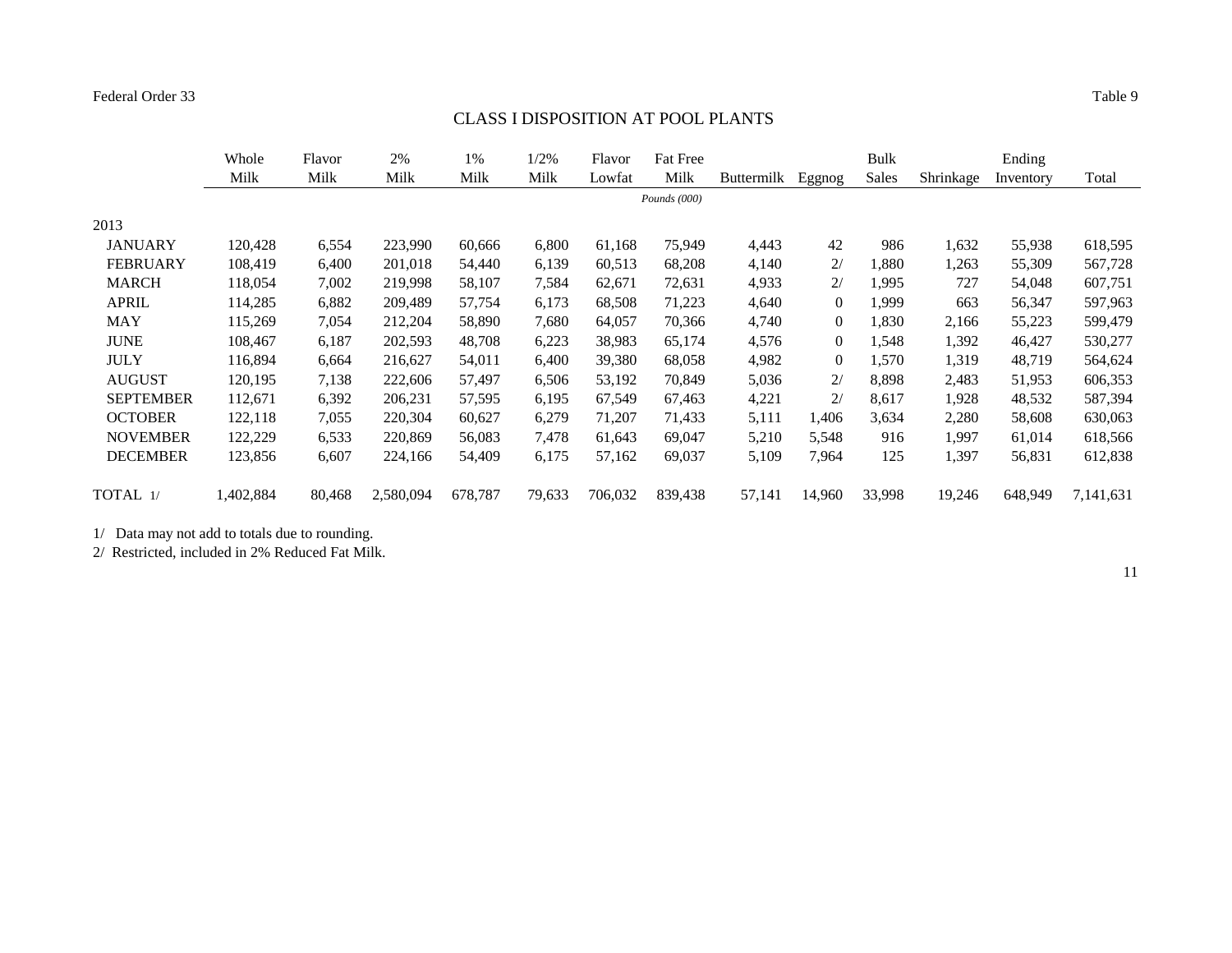# CLASS I DISPOSITION AT POOL PLANTS

|                  | Whole     | Flavor | 2%        | 1%      | 1/2%   | Flavor  | <b>Fat Free</b> |                   |                | <b>Bulk</b> |           | Ending    |           |
|------------------|-----------|--------|-----------|---------|--------|---------|-----------------|-------------------|----------------|-------------|-----------|-----------|-----------|
|                  | Milk      | Milk   | Milk      | Milk    | Milk   | Lowfat  | Milk            | <b>Buttermilk</b> | Eggnog         | Sales       | Shrinkage | Inventory | Total     |
|                  |           |        |           |         |        |         | Pounds (000)    |                   |                |             |           |           |           |
| 2013             |           |        |           |         |        |         |                 |                   |                |             |           |           |           |
| <b>JANUARY</b>   | 120,428   | 6,554  | 223,990   | 60,666  | 6,800  | 61,168  | 75,949          | 4,443             | 42             | 986         | 1,632     | 55,938    | 618,595   |
| <b>FEBRUARY</b>  | 108,419   | 6,400  | 201,018   | 54,440  | 6,139  | 60,513  | 68,208          | 4,140             | 2/             | 1,880       | 1,263     | 55,309    | 567,728   |
| <b>MARCH</b>     | 118,054   | 7,002  | 219,998   | 58,107  | 7,584  | 62,671  | 72,631          | 4,933             | 2/             | 1,995       | 727       | 54,048    | 607,751   |
| <b>APRIL</b>     | 114,285   | 6,882  | 209,489   | 57,754  | 6,173  | 68,508  | 71,223          | 4,640             | 0              | 1,999       | 663       | 56,347    | 597,963   |
| <b>MAY</b>       | 115,269   | 7,054  | 212,204   | 58,890  | 7,680  | 64,057  | 70,366          | 4,740             | $\overline{0}$ | 1,830       | 2,166     | 55,223    | 599,479   |
| <b>JUNE</b>      | 108,467   | 6,187  | 202,593   | 48,708  | 6,223  | 38,983  | 65,174          | 4,576             | 0              | 1,548       | 1,392     | 46,427    | 530,277   |
| <b>JULY</b>      | 116,894   | 6,664  | 216,627   | 54,011  | 6,400  | 39,380  | 68,058          | 4,982             | $\overline{0}$ | 1,570       | 1,319     | 48,719    | 564,624   |
| <b>AUGUST</b>    | 120,195   | 7,138  | 222,606   | 57,497  | 6,506  | 53,192  | 70,849          | 5,036             | 2/             | 8,898       | 2,483     | 51,953    | 606,353   |
| <b>SEPTEMBER</b> | 112,671   | 6,392  | 206,231   | 57,595  | 6,195  | 67,549  | 67,463          | 4,221             | 2/             | 8,617       | 1,928     | 48,532    | 587,394   |
| <b>OCTOBER</b>   | 122,118   | 7,055  | 220,304   | 60,627  | 6,279  | 71,207  | 71,433          | 5,111             | 1,406          | 3,634       | 2,280     | 58,608    | 630,063   |
| <b>NOVEMBER</b>  | 122,229   | 6,533  | 220,869   | 56,083  | 7,478  | 61,643  | 69,047          | 5,210             | 5,548          | 916         | 1,997     | 61,014    | 618,566   |
| <b>DECEMBER</b>  | 123,856   | 6,607  | 224,166   | 54,409  | 6,175  | 57,162  | 69,037          | 5,109             | 7,964          | 125         | 1,397     | 56,831    | 612,838   |
| TOTAL 1/         | 1,402,884 | 80,468 | 2,580,094 | 678,787 | 79,633 | 706,032 | 839,438         | 57,141            | 14,960         | 33,998      | 19,246    | 648,949   | 7,141,631 |

1/ Data may not add to totals due to rounding.

2/ Restricted, included in 2% Reduced Fat Milk.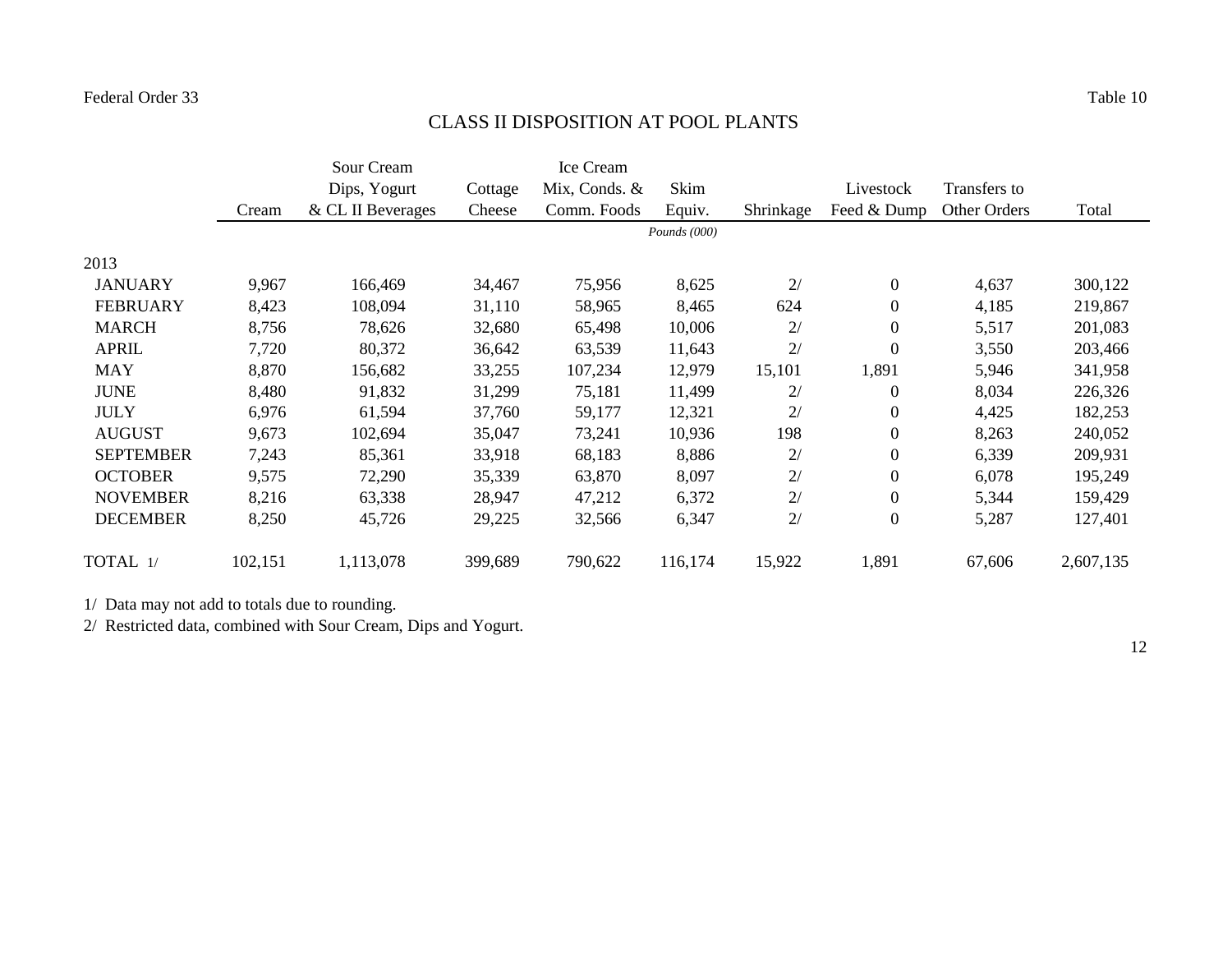# CLASS II DISPOSITION AT POOL PLANTS

|                  |         | Sour Cream        |         | Ice Cream     |              |           |                  |              |           |
|------------------|---------|-------------------|---------|---------------|--------------|-----------|------------------|--------------|-----------|
|                  |         | Dips, Yogurt      | Cottage | Mix, Conds. & | Skim         |           | Livestock        | Transfers to |           |
|                  | Cream   | & CL II Beverages | Cheese  | Comm. Foods   | Equiv.       | Shrinkage | Feed & Dump      | Other Orders | Total     |
|                  |         |                   |         |               | Pounds (000) |           |                  |              |           |
| 2013             |         |                   |         |               |              |           |                  |              |           |
| <b>JANUARY</b>   | 9,967   | 166,469           | 34,467  | 75,956        | 8,625        | 2/        | $\boldsymbol{0}$ | 4,637        | 300,122   |
| <b>FEBRUARY</b>  | 8,423   | 108,094           | 31,110  | 58,965        | 8,465        | 624       | $\boldsymbol{0}$ | 4,185        | 219,867   |
| <b>MARCH</b>     | 8,756   | 78,626            | 32,680  | 65,498        | 10,006       | 2/        | $\boldsymbol{0}$ | 5,517        | 201,083   |
| <b>APRIL</b>     | 7,720   | 80,372            | 36,642  | 63,539        | 11,643       | 2/        | $\boldsymbol{0}$ | 3,550        | 203,466   |
| <b>MAY</b>       | 8,870   | 156,682           | 33,255  | 107,234       | 12,979       | 15,101    | 1,891            | 5,946        | 341,958   |
| <b>JUNE</b>      | 8,480   | 91,832            | 31,299  | 75,181        | 11,499       | 2/        | $\boldsymbol{0}$ | 8,034        | 226,326   |
| <b>JULY</b>      | 6,976   | 61,594            | 37,760  | 59,177        | 12,321       | 2/        | $\boldsymbol{0}$ | 4,425        | 182,253   |
| <b>AUGUST</b>    | 9,673   | 102,694           | 35,047  | 73,241        | 10,936       | 198       | $\boldsymbol{0}$ | 8,263        | 240,052   |
| <b>SEPTEMBER</b> | 7,243   | 85,361            | 33,918  | 68,183        | 8,886        | 2/        | $\boldsymbol{0}$ | 6,339        | 209,931   |
| <b>OCTOBER</b>   | 9,575   | 72,290            | 35,339  | 63,870        | 8,097        | 2/        | $\boldsymbol{0}$ | 6,078        | 195,249   |
| <b>NOVEMBER</b>  | 8,216   | 63,338            | 28,947  | 47,212        | 6,372        | 2/        | $\boldsymbol{0}$ | 5,344        | 159,429   |
| <b>DECEMBER</b>  | 8,250   | 45,726            | 29,225  | 32,566        | 6,347        | 2/        | $\overline{0}$   | 5,287        | 127,401   |
| TOTAL 1/         | 102,151 | 1,113,078         | 399,689 | 790,622       | 116,174      | 15,922    | 1,891            | 67,606       | 2,607,135 |

1/ Data may not add to totals due to rounding.

2/ Restricted data, combined with Sour Cream, Dips and Yogurt.

12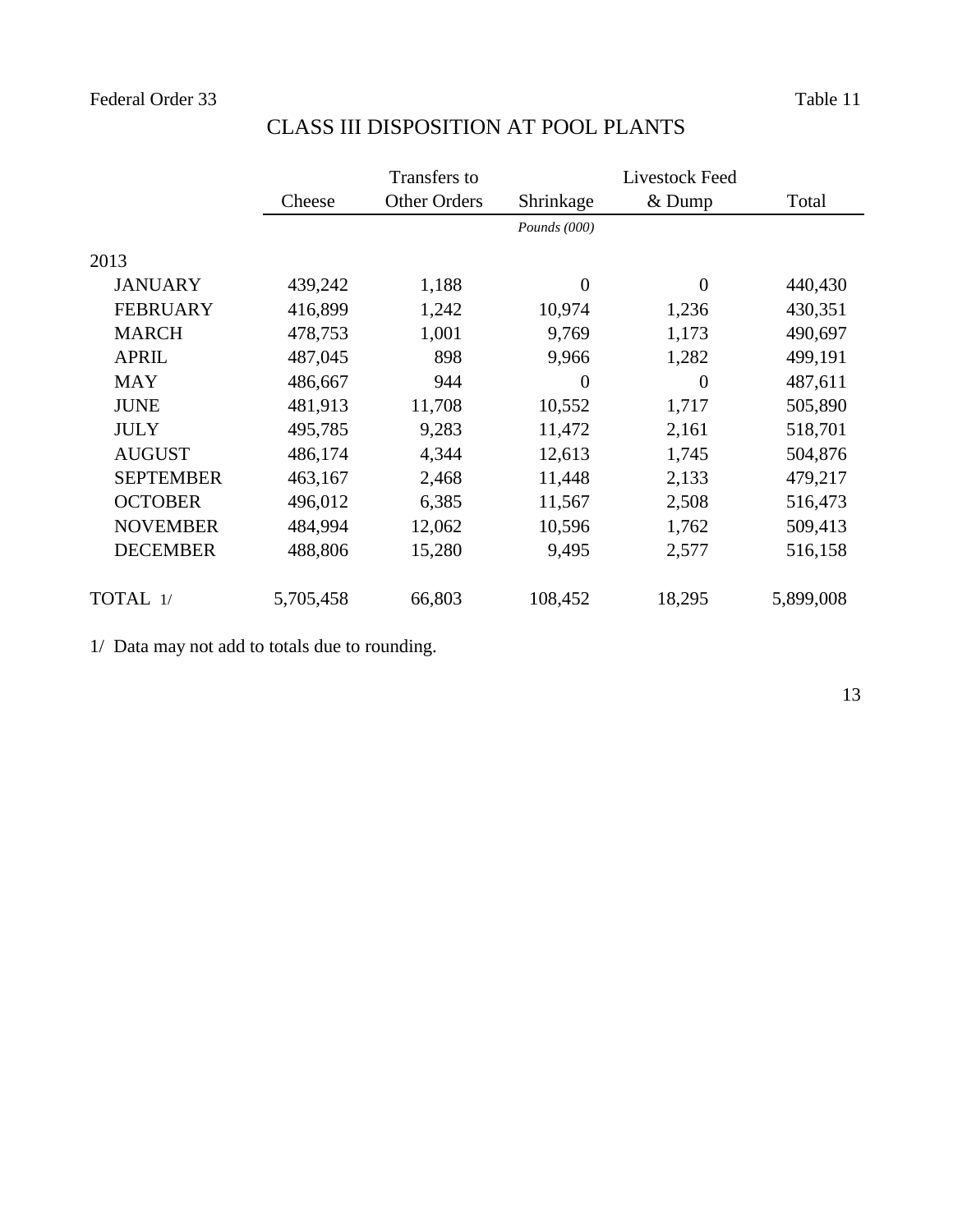|                  |           | Transfers to |                | Livestock Feed |           |
|------------------|-----------|--------------|----------------|----------------|-----------|
|                  | Cheese    | Other Orders | Shrinkage      | $&$ Dump       | Total     |
|                  |           |              | Pounds (000)   |                |           |
| 2013             |           |              |                |                |           |
| <b>JANUARY</b>   | 439,242   | 1,188        | $\overline{0}$ | $\overline{0}$ | 440,430   |
| <b>FEBRUARY</b>  | 416,899   | 1,242        | 10,974         | 1,236          | 430,351   |
| <b>MARCH</b>     | 478,753   | 1,001        | 9,769          | 1,173          | 490,697   |
| <b>APRIL</b>     | 487,045   | 898          | 9,966          | 1,282          | 499,191   |
| <b>MAY</b>       | 486,667   | 944          | $\overline{0}$ | $\theta$       | 487,611   |
| <b>JUNE</b>      | 481,913   | 11,708       | 10,552         | 1,717          | 505,890   |
| <b>JULY</b>      | 495,785   | 9,283        | 11,472         | 2,161          | 518,701   |
| <b>AUGUST</b>    | 486,174   | 4,344        | 12,613         | 1,745          | 504,876   |
| <b>SEPTEMBER</b> | 463,167   | 2,468        | 11,448         | 2,133          | 479,217   |
| <b>OCTOBER</b>   | 496,012   | 6,385        | 11,567         | 2,508          | 516,473   |
| <b>NOVEMBER</b>  | 484,994   | 12,062       | 10,596         | 1,762          | 509,413   |
| <b>DECEMBER</b>  | 488,806   | 15,280       | 9,495          | 2,577          | 516,158   |
| TOTAL 1/         | 5,705,458 | 66,803       | 108,452        | 18,295         | 5,899,008 |

### CLASS III DISPOSITION AT POOL PLANTS

1/ Data may not add to totals due to rounding.

13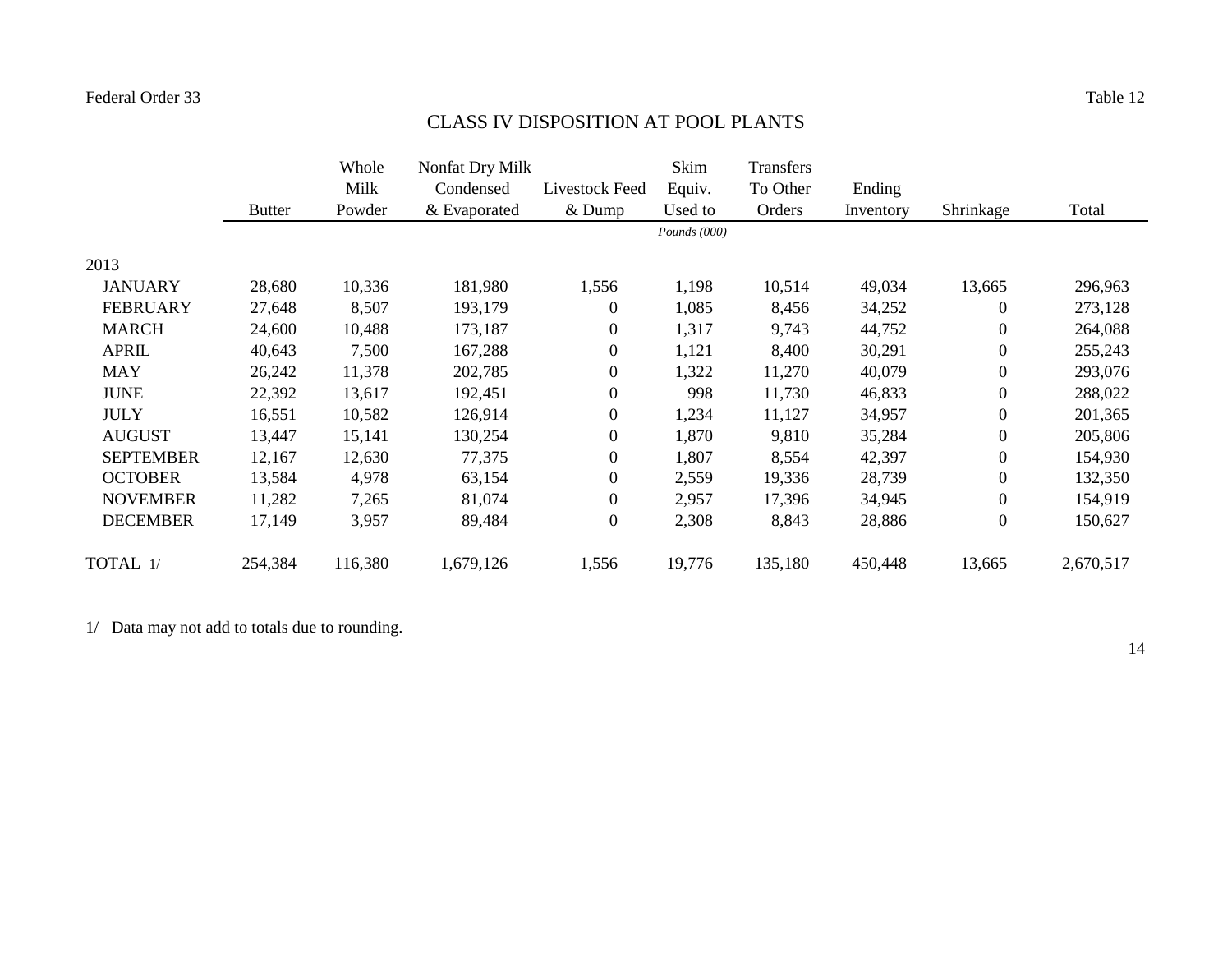# CLASS IV DISPOSITION AT POOL PLANTS

|                  |               | Whole   | Nonfat Dry Milk |                  | Skim         | Transfers |           |                  |           |
|------------------|---------------|---------|-----------------|------------------|--------------|-----------|-----------|------------------|-----------|
|                  |               | Milk    | Condensed       | Livestock Feed   | Equiv.       | To Other  | Ending    |                  |           |
|                  | <b>Butter</b> | Powder  | & Evaporated    | $&$ Dump         | Used to      | Orders    | Inventory | Shrinkage        | Total     |
|                  |               |         |                 |                  | Pounds (000) |           |           |                  |           |
| 2013             |               |         |                 |                  |              |           |           |                  |           |
| <b>JANUARY</b>   | 28,680        | 10,336  | 181,980         | 1,556            | 1,198        | 10,514    | 49,034    | 13,665           | 296,963   |
| <b>FEBRUARY</b>  | 27,648        | 8,507   | 193,179         | $\overline{0}$   | 1,085        | 8,456     | 34,252    | $\overline{0}$   | 273,128   |
| <b>MARCH</b>     | 24,600        | 10,488  | 173,187         | $\boldsymbol{0}$ | 1,317        | 9,743     | 44,752    | $\overline{0}$   | 264,088   |
| <b>APRIL</b>     | 40,643        | 7,500   | 167,288         | $\boldsymbol{0}$ | 1,121        | 8,400     | 30,291    | $\boldsymbol{0}$ | 255,243   |
| <b>MAY</b>       | 26,242        | 11,378  | 202,785         | $\boldsymbol{0}$ | 1,322        | 11,270    | 40,079    | $\boldsymbol{0}$ | 293,076   |
| <b>JUNE</b>      | 22,392        | 13,617  | 192,451         | $\overline{0}$   | 998          | 11,730    | 46,833    | $\boldsymbol{0}$ | 288,022   |
| <b>JULY</b>      | 16,551        | 10,582  | 126,914         | $\boldsymbol{0}$ | 1,234        | 11,127    | 34,957    | $\boldsymbol{0}$ | 201,365   |
| <b>AUGUST</b>    | 13,447        | 15,141  | 130,254         | $\boldsymbol{0}$ | 1,870        | 9,810     | 35,284    | $\boldsymbol{0}$ | 205,806   |
| <b>SEPTEMBER</b> | 12,167        | 12,630  | 77,375          | $\overline{0}$   | 1,807        | 8,554     | 42,397    | $\boldsymbol{0}$ | 154,930   |
| <b>OCTOBER</b>   | 13,584        | 4,978   | 63,154          | $\overline{0}$   | 2,559        | 19,336    | 28,739    | $\boldsymbol{0}$ | 132,350   |
| <b>NOVEMBER</b>  | 11,282        | 7,265   | 81,074          | $\overline{0}$   | 2,957        | 17,396    | 34,945    | $\boldsymbol{0}$ | 154,919   |
| <b>DECEMBER</b>  | 17,149        | 3,957   | 89,484          | $\boldsymbol{0}$ | 2,308        | 8,843     | 28,886    | $\boldsymbol{0}$ | 150,627   |
| TOTAL 1/         | 254,384       | 116,380 | 1,679,126       | 1,556            | 19,776       | 135,180   | 450,448   | 13,665           | 2,670,517 |

1/ Data may not add to totals due to rounding.

14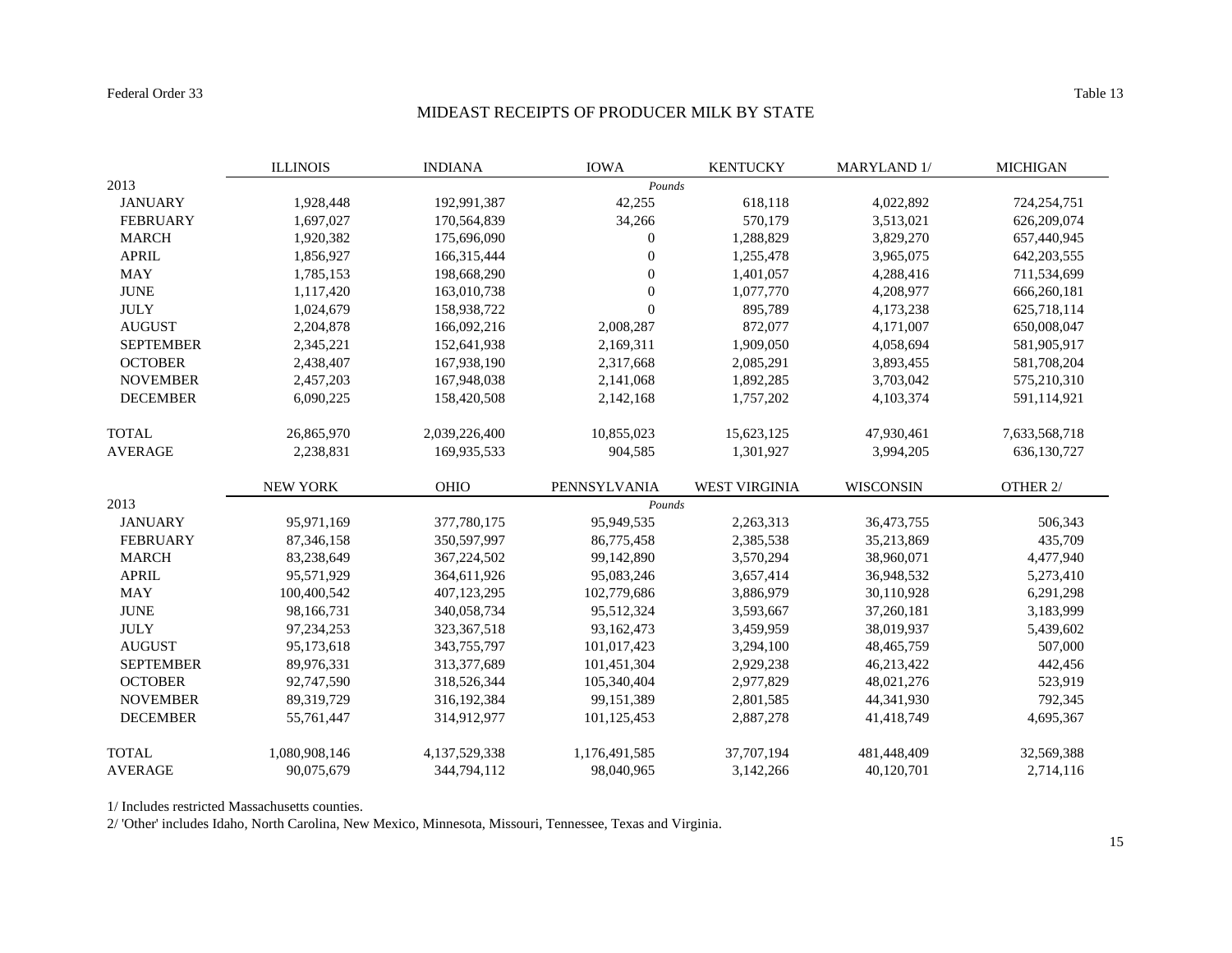#### MIDEAST RECEIPTS OF PRODUCER MILK BY STATE

|                  | <b>ILLINOIS</b> | <b>INDIANA</b>   | <b>IOWA</b>      | <b>KENTUCKY</b>      | MARYLAND 1/      | <b>MICHIGAN</b> |
|------------------|-----------------|------------------|------------------|----------------------|------------------|-----------------|
| 2013             |                 |                  | Pounds           |                      |                  |                 |
| <b>JANUARY</b>   | 1,928,448       | 192,991,387      | 42,255           | 618,118              | 4,022,892        | 724,254,751     |
| <b>FEBRUARY</b>  | 1,697,027       | 170,564,839      | 34,266           | 570,179              | 3,513,021        | 626,209,074     |
| <b>MARCH</b>     | 1,920,382       | 175,696,090      | $\boldsymbol{0}$ | 1,288,829            | 3,829,270        | 657,440,945     |
| <b>APRIL</b>     | 1,856,927       | 166,315,444      | $\overline{0}$   | 1,255,478            | 3,965,075        | 642, 203, 555   |
| <b>MAY</b>       | 1,785,153       | 198,668,290      | 0                | 1,401,057            | 4,288,416        | 711,534,699     |
| <b>JUNE</b>      | 1,117,420       | 163,010,738      | $\overline{0}$   | 1,077,770            | 4,208,977        | 666,260,181     |
| <b>JULY</b>      | 1,024,679       | 158,938,722      | $\boldsymbol{0}$ | 895,789              | 4,173,238        | 625,718,114     |
| <b>AUGUST</b>    | 2,204,878       | 166,092,216      | 2,008,287        | 872,077              | 4,171,007        | 650,008,047     |
| <b>SEPTEMBER</b> | 2,345,221       | 152,641,938      | 2,169,311        | 1,909,050            | 4,058,694        | 581,905,917     |
| <b>OCTOBER</b>   | 2,438,407       | 167,938,190      | 2,317,668        | 2,085,291            | 3,893,455        | 581,708,204     |
| <b>NOVEMBER</b>  | 2,457,203       | 167,948,038      | 2,141,068        | 1,892,285            | 3,703,042        | 575,210,310     |
| <b>DECEMBER</b>  | 6,090,225       | 158,420,508      | 2,142,168        | 1,757,202            | 4,103,374        | 591,114,921     |
| <b>TOTAL</b>     | 26,865,970      | 2,039,226,400    | 10,855,023       | 15,623,125           | 47,930,461       | 7,633,568,718   |
| <b>AVERAGE</b>   | 2,238,831       | 169,935,533      | 904,585          | 1,301,927            | 3,994,205        | 636,130,727     |
|                  | <b>NEW YORK</b> | <b>OHIO</b>      | PENNSYLVANIA     | <b>WEST VIRGINIA</b> | <b>WISCONSIN</b> | OTHER 2/        |
| 2013             |                 |                  | Pounds           |                      |                  |                 |
| <b>JANUARY</b>   | 95,971,169      | 377,780,175      | 95,949,535       | 2,263,313            | 36,473,755       | 506,343         |
| <b>FEBRUARY</b>  | 87, 346, 158    | 350,597,997      | 86,775,458       | 2,385,538            | 35,213,869       | 435,709         |
| <b>MARCH</b>     | 83,238,649      | 367,224,502      | 99,142,890       | 3,570,294            | 38,960,071       | 4,477,940       |
| <b>APRIL</b>     | 95,571,929      | 364,611,926      | 95,083,246       | 3,657,414            | 36,948,532       | 5,273,410       |
| <b>MAY</b>       | 100,400,542     | 407,123,295      | 102,779,686      | 3,886,979            | 30,110,928       | 6,291,298       |
| <b>JUNE</b>      | 98,166,731      | 340,058,734      | 95,512,324       | 3,593,667            | 37,260,181       | 3,183,999       |
| <b>JULY</b>      | 97, 234, 253    | 323, 367, 518    | 93,162,473       | 3,459,959            | 38,019,937       | 5,439,602       |
| <b>AUGUST</b>    | 95,173,618      | 343,755,797      | 101,017,423      | 3,294,100            | 48, 465, 759     | 507,000         |
| <b>SEPTEMBER</b> | 89,976,331      | 313,377,689      | 101,451,304      | 2,929,238            | 46,213,422       | 442,456         |
| <b>OCTOBER</b>   | 92,747,590      | 318,526,344      | 105,340,404      | 2,977,829            | 48,021,276       | 523,919         |
| <b>NOVEMBER</b>  | 89,319,729      | 316, 192, 384    | 99, 151, 389     | 2,801,585            | 44, 341, 930     | 792,345         |
| <b>DECEMBER</b>  | 55,761,447      | 314,912,977      | 101,125,453      | 2,887,278            | 41,418,749       | 4,695,367       |
| <b>TOTAL</b>     | 1,080,908,146   | 4, 137, 529, 338 | 1,176,491,585    | 37,707,194           | 481,448,409      | 32,569,388      |
| <b>AVERAGE</b>   | 90,075,679      | 344,794,112      | 98,040,965       | 3,142,266            | 40,120,701       | 2,714,116       |

1/ Includes restricted Massachusetts counties.

2/ 'Other' includes Idaho, North Carolina, New Mexico, Minnesota, Missouri, Tennessee, Texas and Virginia.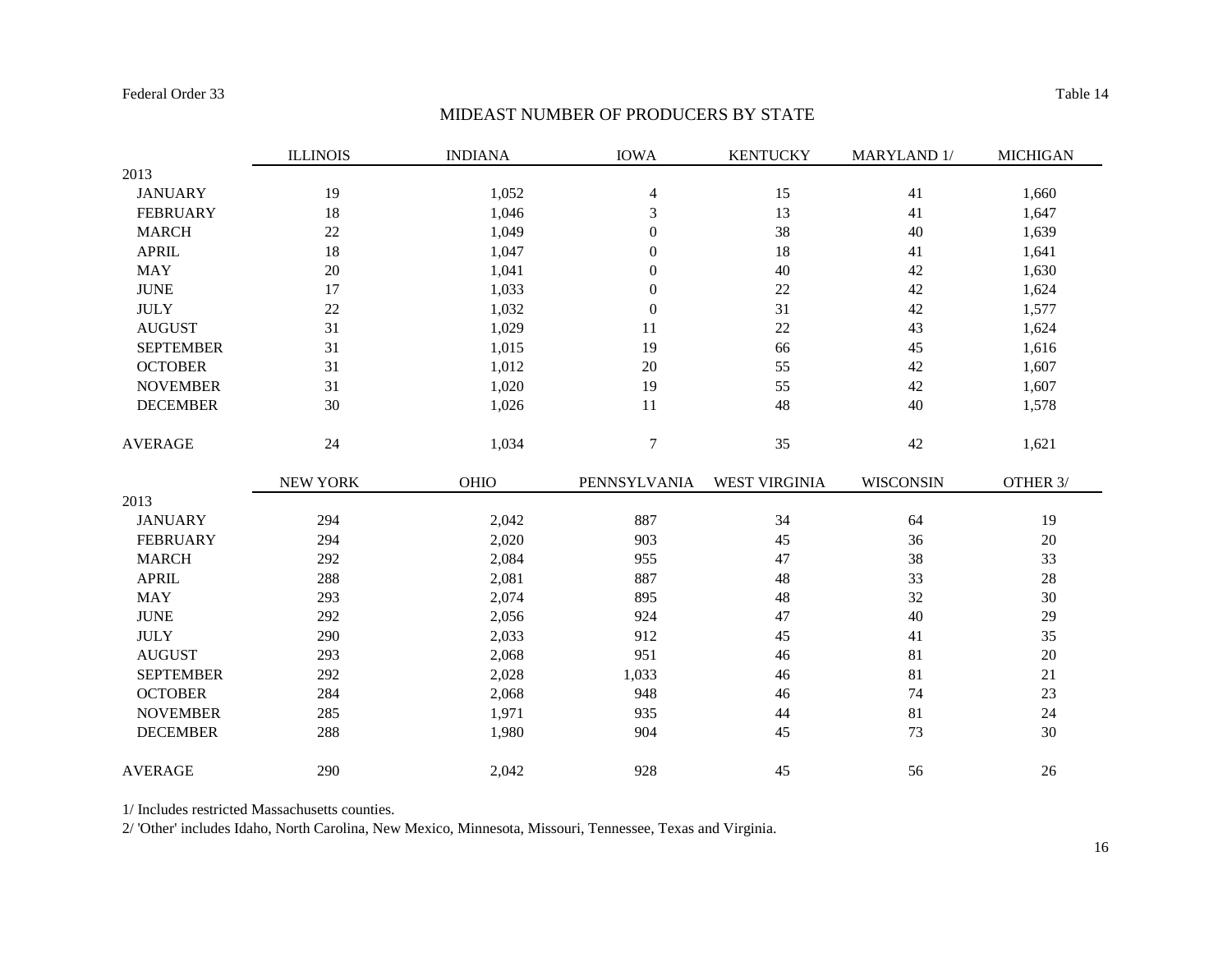#### MIDEAST NUMBER OF PRODUCERS BY STATE

|                  | <b>ILLINOIS</b> | <b>INDIANA</b> | <b>IOWA</b>      | <b>KENTUCKY</b>      | MARYLAND 1/      | <b>MICHIGAN</b> |
|------------------|-----------------|----------------|------------------|----------------------|------------------|-----------------|
| 2013             |                 |                |                  |                      |                  |                 |
| <b>JANUARY</b>   | 19              | 1,052          | $\overline{4}$   | 15                   | 41               | 1,660           |
| <b>FEBRUARY</b>  | 18              | 1,046          | 3                | 13                   | 41               | 1,647           |
| <b>MARCH</b>     | $22\,$          | 1,049          | $\boldsymbol{0}$ | 38                   | 40               | 1,639           |
| <b>APRIL</b>     | 18              | 1,047          | $\boldsymbol{0}$ | 18                   | 41               | 1,641           |
| <b>MAY</b>       | 20              | 1,041          | $\boldsymbol{0}$ | 40                   | 42               | 1,630           |
| <b>JUNE</b>      | 17              | 1,033          | $\boldsymbol{0}$ | $22\,$               | 42               | 1,624           |
| <b>JULY</b>      | 22              | 1,032          | $\boldsymbol{0}$ | 31                   | 42               | 1,577           |
| <b>AUGUST</b>    | 31              | 1,029          | 11               | 22                   | 43               | 1,624           |
| <b>SEPTEMBER</b> | 31              | 1,015          | 19               | 66                   | 45               | 1,616           |
| <b>OCTOBER</b>   | 31              | 1,012          | 20               | 55                   | 42               | 1,607           |
| <b>NOVEMBER</b>  | 31              | 1,020          | 19               | 55                   | 42               | 1,607           |
| <b>DECEMBER</b>  | 30              | 1,026          | 11               | 48                   | 40               | 1,578           |
| <b>AVERAGE</b>   | 24              | 1,034          | $\overline{7}$   | 35                   | 42               | 1,621           |
|                  | NEW YORK        | OHIO           | PENNSYLVANIA     | <b>WEST VIRGINIA</b> | <b>WISCONSIN</b> | OTHER 3/        |
| 2013             |                 |                |                  |                      |                  |                 |
| <b>JANUARY</b>   | 294             | 2,042          | 887              | 34                   | 64               | 19              |
| <b>FEBRUARY</b>  | 294             | 2,020          | 903              | 45                   | 36               | 20              |
| <b>MARCH</b>     | 292             | 2,084          | 955              | 47                   | 38               | 33              |
| <b>APRIL</b>     | 288             | 2,081          | 887              | 48                   | 33               | 28              |
| <b>MAY</b>       | 293             | 2,074          | 895              | 48                   | 32               | 30              |
| <b>JUNE</b>      | 292             | 2,056          | 924              | 47                   | 40               | 29              |
| <b>JULY</b>      | 290             | 2,033          | 912              | 45                   | 41               | 35              |
| <b>AUGUST</b>    | 293             | 2,068          | 951              | 46                   | 81               | 20              |
| <b>SEPTEMBER</b> | 292             | 2,028          | 1,033            | 46                   | 81               | 21              |
| <b>OCTOBER</b>   | 284             | 2,068          | 948              | 46                   | 74               | 23              |
| <b>NOVEMBER</b>  | 285             | 1,971          | 935              | 44                   | 81               | 24              |
| <b>DECEMBER</b>  | 288             | 1,980          | 904              | 45                   | 73               | 30              |
| <b>AVERAGE</b>   | 290             | 2,042          | 928              | 45                   | 56               | 26              |

1/ Includes restricted Massachusetts counties.

2/ 'Other' includes Idaho, North Carolina, New Mexico, Minnesota, Missouri, Tennessee, Texas and Virginia.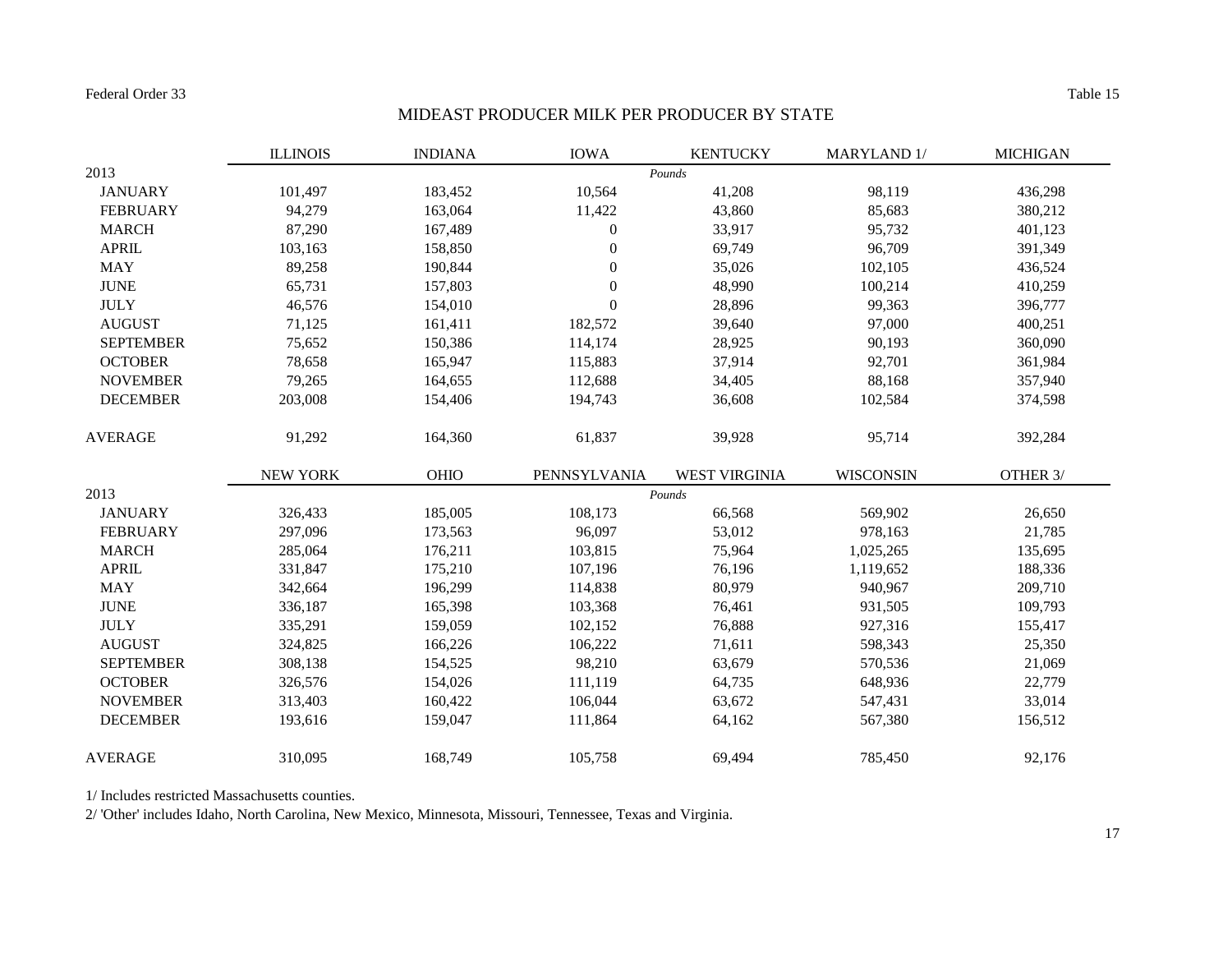Federal Order 33

#### MIDEAST PRODUCER MILK PER PRODUCER BY STATE

|                  | <b>ILLINOIS</b> | <b>INDIANA</b> | <b>IOWA</b>      | <b>KENTUCKY</b>      | MARYLAND 1/      | <b>MICHIGAN</b> |
|------------------|-----------------|----------------|------------------|----------------------|------------------|-----------------|
| 2013             |                 |                |                  | Pounds               |                  |                 |
| <b>JANUARY</b>   | 101,497         | 183,452        | 10,564           | 41,208               | 98,119           | 436,298         |
| <b>FEBRUARY</b>  | 94,279          | 163,064        | 11,422           | 43,860               | 85,683           | 380,212         |
| <b>MARCH</b>     | 87,290          | 167,489        | $\boldsymbol{0}$ | 33,917               | 95,732           | 401,123         |
| <b>APRIL</b>     | 103,163         | 158,850        | $\boldsymbol{0}$ | 69,749               | 96,709           | 391,349         |
| <b>MAY</b>       | 89,258          | 190,844        | $\boldsymbol{0}$ | 35,026               | 102,105          | 436,524         |
| <b>JUNE</b>      | 65,731          | 157,803        | $\boldsymbol{0}$ | 48,990               | 100,214          | 410,259         |
| <b>JULY</b>      | 46,576          | 154,010        | $\boldsymbol{0}$ | 28,896               | 99,363           | 396,777         |
| <b>AUGUST</b>    | 71,125          | 161,411        | 182,572          | 39,640               | 97,000           | 400,251         |
| <b>SEPTEMBER</b> | 75,652          | 150,386        | 114,174          | 28,925               | 90,193           | 360,090         |
| <b>OCTOBER</b>   | 78,658          | 165,947        | 115,883          | 37,914               | 92,701           | 361,984         |
| <b>NOVEMBER</b>  | 79,265          | 164,655        | 112,688          | 34,405               | 88,168           | 357,940         |
| <b>DECEMBER</b>  | 203,008         | 154,406        | 194,743          | 36,608               | 102,584          | 374,598         |
| <b>AVERAGE</b>   | 91,292          | 164,360        | 61,837           | 39,928               | 95,714           | 392,284         |
|                  | NEW YORK        | OHIO           | PENNSYLVANIA     | <b>WEST VIRGINIA</b> | <b>WISCONSIN</b> | OTHER 3/        |
| 2013             |                 |                |                  | Pounds               |                  |                 |
| <b>JANUARY</b>   | 326,433         | 185,005        | 108,173          | 66,568               | 569,902          | 26,650          |
| <b>FEBRUARY</b>  | 297,096         | 173,563        | 96,097           | 53,012               | 978,163          | 21,785          |
| <b>MARCH</b>     | 285,064         | 176,211        | 103,815          | 75,964               | 1,025,265        | 135,695         |
| <b>APRIL</b>     | 331,847         | 175,210        | 107,196          | 76,196               | 1,119,652        | 188,336         |
| <b>MAY</b>       | 342,664         | 196,299        | 114,838          | 80,979               | 940,967          | 209,710         |
| <b>JUNE</b>      | 336,187         | 165,398        | 103,368          | 76,461               | 931,505          | 109,793         |
| <b>JULY</b>      | 335,291         | 159,059        | 102,152          | 76,888               | 927,316          | 155,417         |
| <b>AUGUST</b>    | 324,825         | 166,226        | 106,222          | 71,611               | 598,343          | 25,350          |
| <b>SEPTEMBER</b> | 308,138         | 154,525        | 98,210           | 63,679               | 570,536          | 21,069          |
| <b>OCTOBER</b>   | 326,576         | 154,026        | 111,119          | 64,735               | 648,936          | 22,779          |
| <b>NOVEMBER</b>  | 313,403         | 160,422        | 106,044          | 63,672               | 547,431          | 33,014          |
| <b>DECEMBER</b>  | 193,616         | 159,047        | 111,864          | 64,162               | 567,380          | 156,512         |
| <b>AVERAGE</b>   | 310,095         | 168,749        | 105,758          | 69,494               | 785,450          | 92,176          |

1/ Includes restricted Massachusetts counties.

2/ 'Other' includes Idaho, North Carolina, New Mexico, Minnesota, Missouri, Tennessee, Texas and Virginia.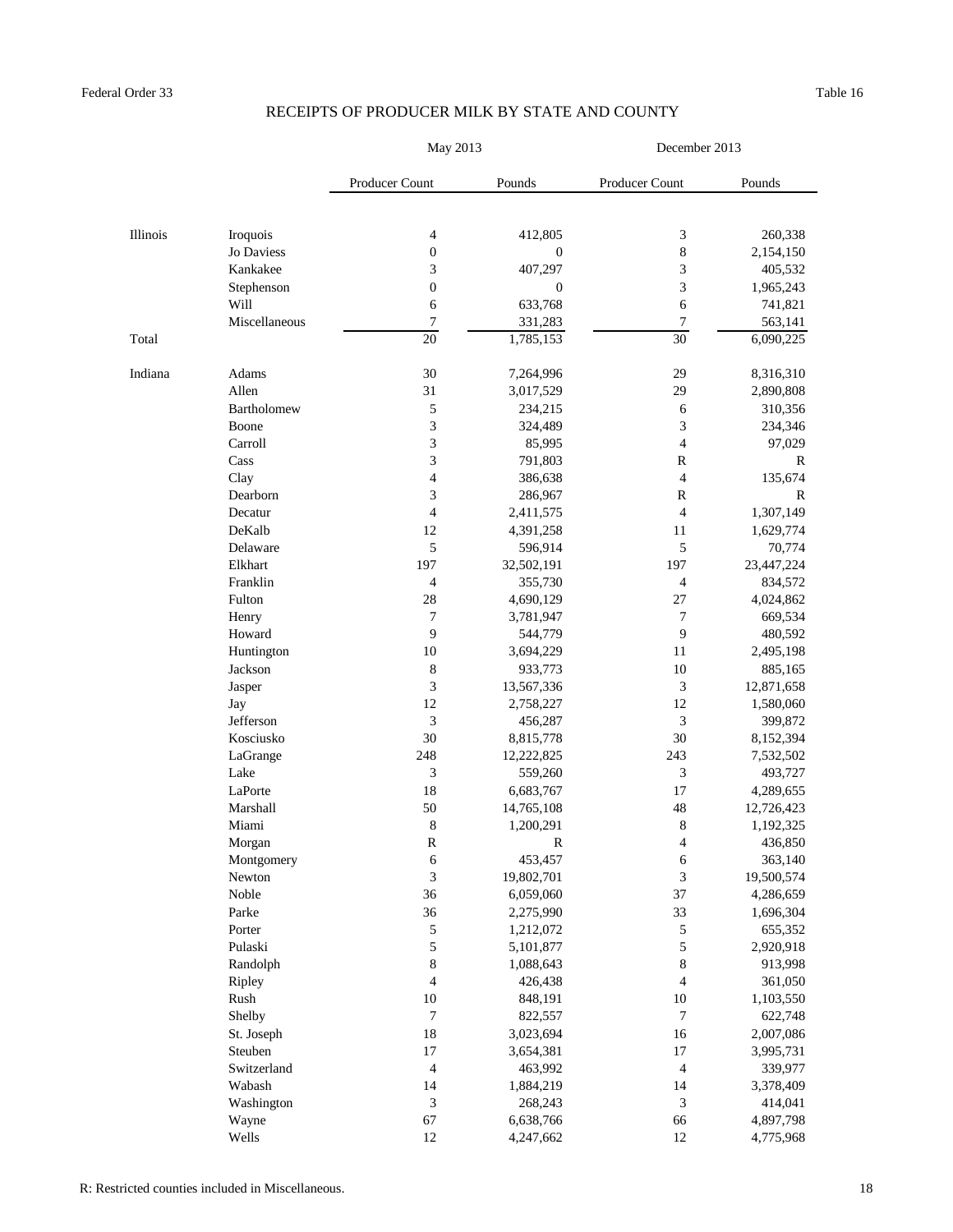|          |               | May 2013                 |                  | December 2013            |             |  |
|----------|---------------|--------------------------|------------------|--------------------------|-------------|--|
|          |               | <b>Producer Count</b>    | Pounds           | Producer Count           | Pounds      |  |
|          |               |                          |                  |                          |             |  |
| Illinois | Iroquois      | 4                        | 412,805          | 3                        | 260,338     |  |
|          | Jo Daviess    | $\boldsymbol{0}$         | $\boldsymbol{0}$ | 8                        | 2,154,150   |  |
|          | Kankakee      | 3                        | 407,297          | 3                        | 405,532     |  |
|          | Stephenson    | $\boldsymbol{0}$         | $\boldsymbol{0}$ | 3                        | 1,965,243   |  |
|          | <b>Will</b>   | 6                        | 633,768          | 6                        | 741,821     |  |
|          | Miscellaneous | $\overline{7}$           | 331,283          | $\overline{7}$           | 563,141     |  |
| Total    |               | 20                       | 1,785,153        | 30                       | 6,090,225   |  |
| Indiana  | Adams         | 30                       | 7,264,996        | 29                       | 8,316,310   |  |
|          | Allen         | 31                       | 3,017,529        | 29                       | 2,890,808   |  |
|          | Bartholomew   | 5                        | 234,215          | 6                        | 310,356     |  |
|          | Boone         | 3                        | 324,489          | 3                        | 234,346     |  |
|          | Carroll       | 3                        | 85,995           | 4                        | 97,029      |  |
|          | Cass          | 3                        | 791,803          | ${\bf R}$                | $\mathbf R$ |  |
|          | Clay          | $\overline{\mathcal{A}}$ | 386,638          | 4                        | 135,674     |  |
|          | Dearborn      | 3                        | 286,967          | $\mathbf R$              | $\mathbf R$ |  |
|          | Decatur       | 4                        | 2,411,575        | $\overline{\mathcal{A}}$ | 1,307,149   |  |
|          | DeKalb        | 12                       | 4,391,258        | 11                       | 1,629,774   |  |
|          | Delaware      | 5                        | 596,914          | 5                        | 70,774      |  |
|          | Elkhart       | 197                      | 32,502,191       | 197                      | 23,447,224  |  |
|          | Franklin      | 4                        | 355,730          | 4                        | 834,572     |  |
|          | Fulton        | 28                       | 4,690,129        | $27\,$                   | 4,024,862   |  |
|          | Henry         | $\overline{7}$           | 3,781,947        | 7                        | 669,534     |  |
|          | Howard        | 9                        | 544,779          | 9                        | 480,592     |  |
|          | Huntington    | 10                       | 3,694,229        | 11                       | 2,495,198   |  |
|          | Jackson       | 8                        | 933,773          | $10\,$                   | 885,165     |  |
|          | Jasper        | 3                        | 13,567,336       | 3                        | 12,871,658  |  |
|          | Jay           | 12                       | 2,758,227        | 12                       | 1,580,060   |  |
|          | Jefferson     | 3                        | 456,287          | 3                        | 399,872     |  |
|          | Kosciusko     | $30\,$                   | 8,815,778        | $30\,$                   | 8,152,394   |  |
|          | LaGrange      | 248                      | 12,222,825       | 243                      | 7,532,502   |  |
|          | Lake          | 3                        | 559,260          | 3                        | 493,727     |  |
|          | LaPorte       | $18\,$                   | 6,683,767        | 17                       | 4,289,655   |  |
|          | Marshall      | 50                       | 14,765,108       | 48                       | 12,726,423  |  |
|          | Miami         | $8\,$                    | 1,200,291        | 8                        | 1,192,325   |  |
|          | Morgan        | $\mathbf R$              | $\mathbf R$      | 4                        | 436,850     |  |
|          | Montgomery    | 6                        | 453,457          | 6                        | 363,140     |  |
|          | Newton        | 3                        | 19,802,701       | 3                        | 19,500,574  |  |
|          | Noble         | 36                       | 6,059,060        | 37                       | 4,286,659   |  |
|          | Parke         | 36                       | 2,275,990        | 33                       | 1,696,304   |  |
|          | Porter        | $\mathfrak s$            | 1,212,072        | 5                        | 655,352     |  |
|          | Pulaski       | $\mathfrak s$            | 5,101,877        | 5                        | 2,920,918   |  |
|          | Randolph      | 8                        | 1,088,643        | $\,8$                    | 913,998     |  |
|          | Ripley        | 4                        | 426,438          | $\overline{\mathcal{A}}$ | 361,050     |  |
|          | Rush          | 10                       | 848,191          | 10                       | 1,103,550   |  |
|          | Shelby        | $\overline{7}$           | 822,557          | $\boldsymbol{7}$         | 622,748     |  |
|          | St. Joseph    | $18\,$                   | 3,023,694        | 16                       | 2,007,086   |  |
|          | Steuben       | 17                       | 3,654,381        | 17                       | 3,995,731   |  |
|          | Switzerland   | 4                        | 463,992          | 4                        | 339,977     |  |
|          | Wabash        | 14                       | 1,884,219        | 14                       | 3,378,409   |  |
|          | Washington    | 3                        | 268,243          | 3                        | 414,041     |  |
|          | Wayne         | 67                       | 6,638,766        | 66                       | 4,897,798   |  |
|          | Wells         | 12                       | 4,247,662        | 12                       | 4,775,968   |  |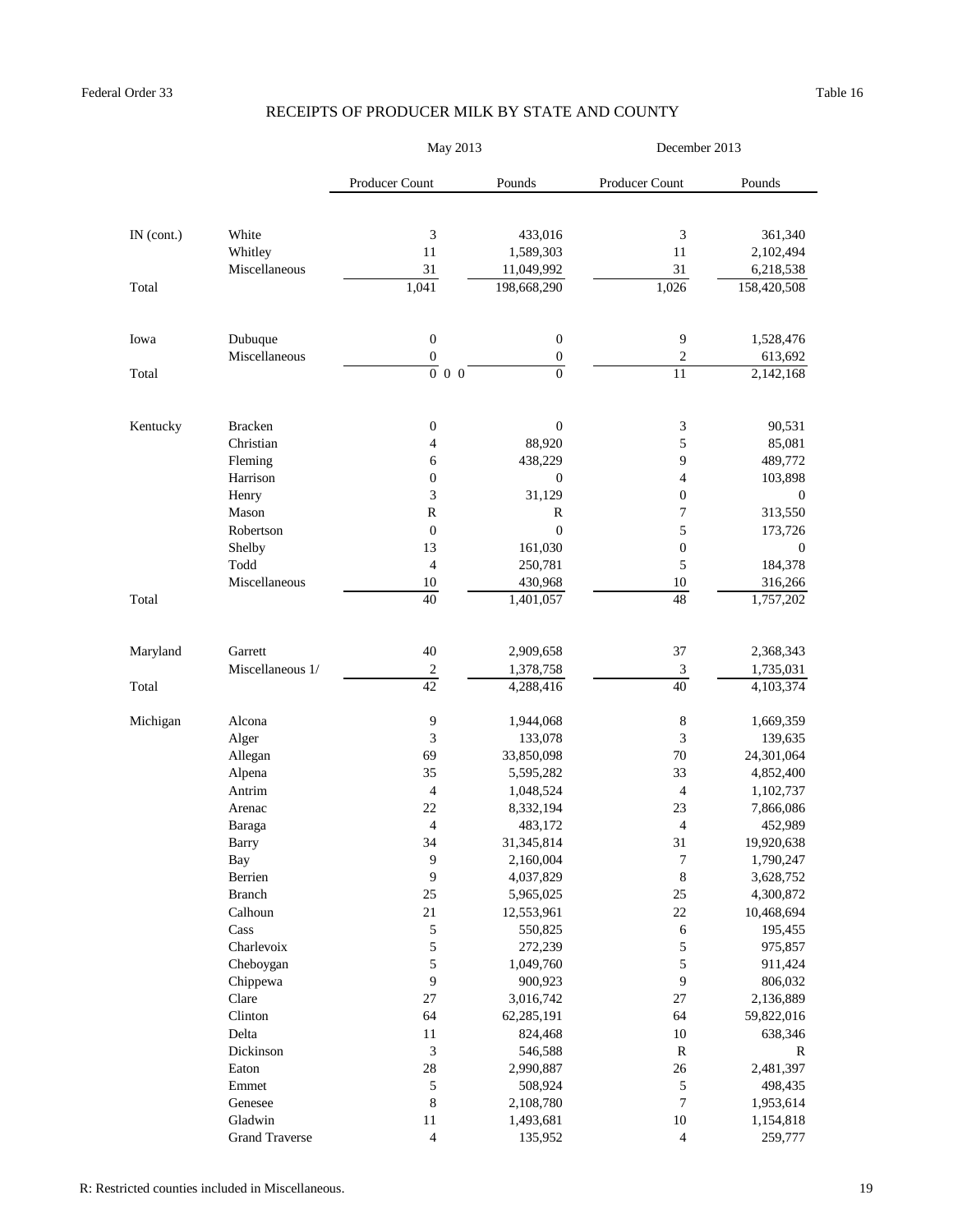|              |                       | May 2013                 |                        | December 2013           |                        |  |
|--------------|-----------------------|--------------------------|------------------------|-------------------------|------------------------|--|
|              |                       | Producer Count           | Pounds                 | Producer Count          | Pounds                 |  |
| $IN$ (cont.) | White                 | 3                        | 433,016                | 3                       | 361,340                |  |
|              | Whitley               | 11                       | 1,589,303              | 11                      | 2,102,494              |  |
|              | Miscellaneous         | 31                       | 11,049,992             | 31                      | 6,218,538              |  |
| Total        |                       | 1,041                    | 198,668,290            | 1,026                   | 158,420,508            |  |
| Iowa         | Dubuque               | $\boldsymbol{0}$         | $\theta$               | 9                       | 1,528,476              |  |
|              | Miscellaneous         | $\boldsymbol{0}$         | $\boldsymbol{0}$       | $\overline{2}$          | 613,692                |  |
| Total        |                       | $\overline{0}$<br>$0\,0$ | $\overline{0}$         | 11                      | 2,142,168              |  |
| Kentucky     | <b>Bracken</b>        | $\boldsymbol{0}$         | $\overline{0}$         | 3                       | 90,531                 |  |
|              | Christian             | 4                        | 88,920                 | 5                       | 85,081                 |  |
|              | Fleming               | 6                        | 438,229                | 9                       | 489,772                |  |
|              | Harrison              | $\boldsymbol{0}$         | $\boldsymbol{0}$       | 4                       | 103,898                |  |
|              | Henry                 | 3                        | 31,129                 | $\boldsymbol{0}$        | $\theta$               |  |
|              | Mason                 | $\mathbf R$              | $\mathbf R$            | 7                       | 313,550                |  |
|              | Robertson             | $\boldsymbol{0}$         | $\overline{0}$         | 5                       | 173,726                |  |
|              | Shelby                | 13                       | 161,030                | $\boldsymbol{0}$        | $\overline{0}$         |  |
|              | Todd                  | 4                        | 250,781                | 5                       | 184,378                |  |
|              | Miscellaneous         | 10                       | 430,968                | 10                      | 316,266                |  |
| Total        |                       | 40                       | 1,401,057              | 48                      | 1,757,202              |  |
| Maryland     | Garrett               | 40                       | 2,909,658              | 37                      | 2,368,343              |  |
|              | Miscellaneous 1/      | $\overline{2}$           | 1,378,758              | $\mathfrak{Z}$          | 1,735,031              |  |
| Total        |                       | 42                       | 4,288,416              | 40                      | 4,103,374              |  |
| Michigan     | Alcona                | 9                        | 1,944,068              | $8\,$                   | 1,669,359              |  |
|              | Alger                 | 3                        | 133,078                | 3                       | 139,635                |  |
|              | Allegan               | 69                       | 33,850,098             | $70\,$                  | 24,301,064             |  |
|              | Alpena                | 35                       | 5,595,282              | 33                      | 4,852,400              |  |
|              | Antrim                | 4                        | 1,048,524              | 4                       | 1,102,737              |  |
|              | Arenac                | 22                       | 8,332,194              | 23                      | 7,866,086              |  |
|              | Baraga                | $\overline{4}$           | 483,172                | $\overline{4}$          | 452,989                |  |
|              | <b>Barry</b>          | 34                       | 31,345,814             | 31                      | 19,920,638             |  |
|              | <b>Bay</b><br>Berrien | 9<br>9                   | 2,160,004<br>4,037,829 | $\overline{7}$<br>$8\,$ | 1,790,247<br>3,628,752 |  |
|              | <b>Branch</b>         | 25                       | 5,965,025              | $25\,$                  | 4,300,872              |  |
|              | Calhoun               | 21                       | 12,553,961             | $22\,$                  | 10,468,694             |  |
|              | Cass                  | 5                        | 550,825                | 6                       | 195,455                |  |
|              | Charlevoix            | 5                        | 272,239                | 5                       | 975,857                |  |
|              | Cheboygan             | 5                        | 1,049,760              | 5                       | 911,424                |  |
|              | Chippewa              | 9                        | 900,923                | 9                       | 806,032                |  |
|              | Clare                 | 27                       | 3,016,742              | 27                      | 2,136,889              |  |
|              | Clinton               | 64                       | 62,285,191             | 64                      | 59,822,016             |  |
|              | Delta                 | 11                       | 824,468                | $10\,$                  | 638,346                |  |
|              | Dickinson             | 3                        | 546,588                | $\mathbf R$             | $\mathbf R$            |  |
|              | Eaton                 | 28                       | 2,990,887              | 26                      | 2,481,397              |  |
|              | Emmet                 | $\mathfrak s$            | 508,924                | 5                       | 498,435                |  |
|              | Genesee               | $\,8\,$                  | 2,108,780              | $\overline{7}$          | 1,953,614              |  |
|              | Gladwin               | 11                       | 1,493,681              | 10                      | 1,154,818              |  |
|              | <b>Grand Traverse</b> | $\overline{4}$           | 135,952                | 4                       | 259,777                |  |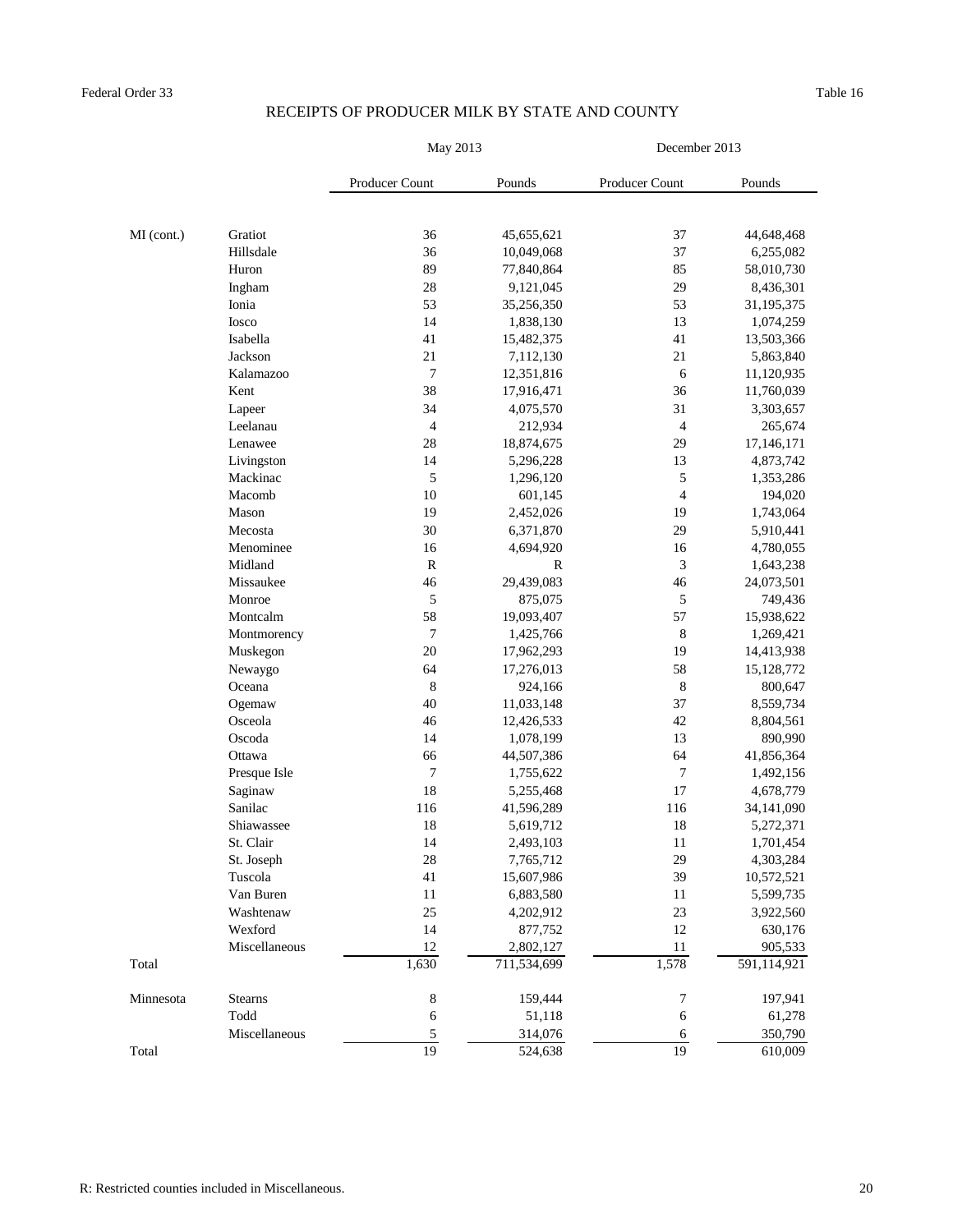|            |                | May 2013         |              | December 2013  |             |  |
|------------|----------------|------------------|--------------|----------------|-------------|--|
|            |                | Producer Count   | Pounds       | Producer Count | Pounds      |  |
|            |                |                  |              |                |             |  |
| MI (cont.) | Gratiot        | 36               | 45,655,621   | 37             | 44,648,468  |  |
|            | Hillsdale      | 36               | 10,049,068   | 37             | 6,255,082   |  |
|            | Huron          | 89               | 77,840,864   | 85             | 58,010,730  |  |
|            | Ingham         | 28               | 9,121,045    | 29             | 8,436,301   |  |
|            | Ionia          | 53               | 35,256,350   | 53             | 31,195,375  |  |
|            | Iosco          | 14               | 1,838,130    | 13             | 1,074,259   |  |
|            | Isabella       | 41               | 15,482,375   | 41             | 13,503,366  |  |
|            | Jackson        | 21               | 7,112,130    | 21             | 5,863,840   |  |
|            | Kalamazoo      | $\boldsymbol{7}$ | 12,351,816   | 6              | 11,120,935  |  |
|            | Kent           | 38               | 17,916,471   | 36             | 11,760,039  |  |
|            | Lapeer         | 34               | 4,075,570    | 31             | 3,303,657   |  |
|            | Leelanau       | $\overline{4}$   | 212,934      | $\overline{4}$ | 265,674     |  |
|            | Lenawee        | 28               | 18,874,675   | 29             | 17,146,171  |  |
|            | Livingston     | $14$             | 5,296,228    | 13             | 4,873,742   |  |
|            | Mackinac       | 5                | 1,296,120    | 5              | 1,353,286   |  |
|            | Macomb         | 10               | 601,145      | $\overline{4}$ | 194,020     |  |
|            | Mason          | 19               | 2,452,026    | 19             | 1,743,064   |  |
|            | Mecosta        | 30               | 6,371,870    | 29             | 5,910,441   |  |
|            | Menominee      | 16               | 4,694,920    | 16             | 4,780,055   |  |
|            | Midland        | $\mathbf R$      | $\mathbb{R}$ | 3              | 1,643,238   |  |
|            | Missaukee      | $46\,$           | 29,439,083   | 46             | 24,073,501  |  |
|            | Monroe         | 5                | 875,075      | 5              | 749,436     |  |
|            | Montcalm       | 58               | 19,093,407   | 57             | 15,938,622  |  |
|            | Montmorency    | $\boldsymbol{7}$ | 1,425,766    | 8              | 1,269,421   |  |
|            | Muskegon       | 20               | 17,962,293   | 19             | 14,413,938  |  |
|            | Newaygo        | 64               | 17,276,013   | 58             | 15,128,772  |  |
|            | Oceana         | $8\,$            | 924,166      | $8\,$          | 800,647     |  |
|            | Ogemaw         | 40               | 11,033,148   | 37             | 8,559,734   |  |
|            | Osceola        | 46               | 12,426,533   | 42             | 8,804,561   |  |
|            | Oscoda         | 14               | 1,078,199    | 13             | 890,990     |  |
|            | Ottawa         | 66               | 44,507,386   | 64             | 41,856,364  |  |
|            | Presque Isle   | 7                | 1,755,622    | 7              | 1,492,156   |  |
|            | Saginaw        | 18               | 5,255,468    | 17             | 4,678,779   |  |
|            | Sanilac        | 116              | 41,596,289   | 116            | 34,141,090  |  |
|            | Shiawassee     | 18               | 5,619,712    | 18             | 5,272,371   |  |
|            | St. Clair      | 14               | 2,493,103    | 11             | 1,701,454   |  |
|            | St. Joseph     | 28               | 7,765,712    | 29             | 4,303,284   |  |
|            | Tuscola        | 41               | 15,607,986   | 39             | 10,572,521  |  |
|            | Van Buren      | 11               | 6,883,580    | 11             | 5,599,735   |  |
|            | Washtenaw      | 25               | 4,202,912    | 23             | 3,922,560   |  |
|            | Wexford        | 14               | 877,752      | 12             | 630,176     |  |
|            | Miscellaneous  | 12               | 2,802,127    | 11             | 905,533     |  |
| Total      |                | 1,630            | 711,534,699  | 1,578          | 591,114,921 |  |
| Minnesota  | <b>Stearns</b> | $8\,$            | 159,444      | $\overline{7}$ | 197,941     |  |
|            | Todd           | 6                | 51,118       | 6              | 61,278      |  |
|            | Miscellaneous  | 5                | 314,076      | 6              | 350,790     |  |
| Total      |                | 19               | 524,638      | 19             | 610,009     |  |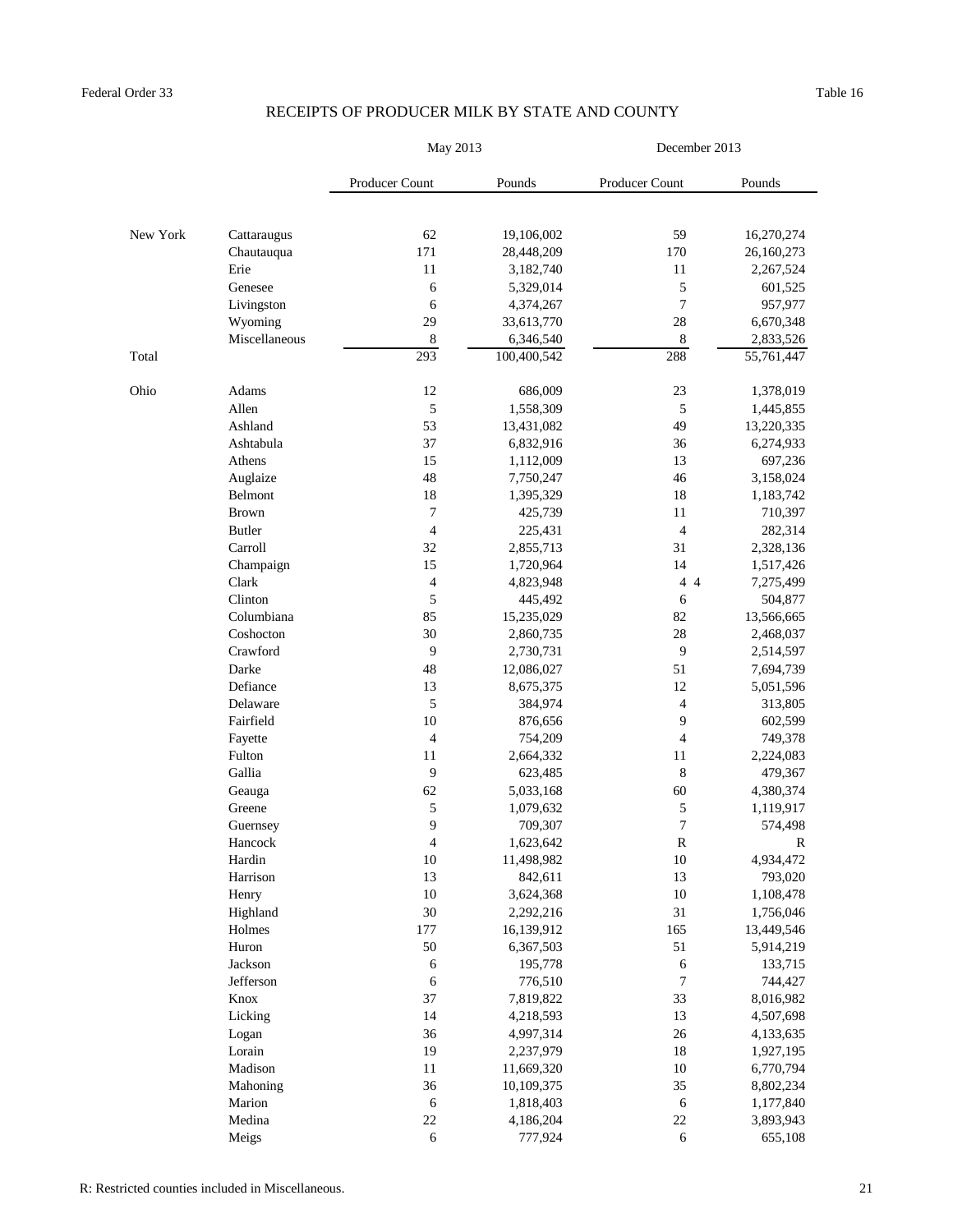|          |               | May 2013                 |             | December 2013            |             |  |
|----------|---------------|--------------------------|-------------|--------------------------|-------------|--|
|          |               | <b>Producer Count</b>    | Pounds      | Producer Count           | Pounds      |  |
|          |               |                          |             |                          |             |  |
| New York | Cattaraugus   | 62                       | 19,106,002  | 59                       | 16,270,274  |  |
|          | Chautauqua    | 171                      | 28,448,209  | 170                      | 26,160,273  |  |
|          | Erie          | 11                       | 3,182,740   | 11                       | 2,267,524   |  |
|          | Genesee       | 6                        | 5,329,014   | $\mathfrak s$            | 601,525     |  |
|          | Livingston    | 6                        | 4,374,267   | $\overline{7}$           | 957,977     |  |
|          | Wyoming       | 29                       | 33,613,770  | 28                       | 6,670,348   |  |
|          | Miscellaneous | 8                        | 6,346,540   | $8\,$                    | 2,833,526   |  |
| Total    |               | 293                      | 100,400,542 | 288                      | 55,761,447  |  |
| Ohio     | Adams         | 12                       | 686,009     | 23                       | 1,378,019   |  |
|          | Allen         | 5                        | 1,558,309   | 5                        | 1,445,855   |  |
|          | Ashland       | 53                       | 13,431,082  | 49                       | 13,220,335  |  |
|          | Ashtabula     | 37                       | 6,832,916   | 36                       | 6,274,933   |  |
|          | Athens        | 15                       | 1,112,009   | 13                       | 697,236     |  |
|          | Auglaize      | 48                       | 7,750,247   | 46                       | 3,158,024   |  |
|          | Belmont       | 18                       | 1,395,329   | 18                       | 1,183,742   |  |
|          | <b>Brown</b>  | $\overline{7}$           | 425,739     | 11                       | 710,397     |  |
|          | <b>Butler</b> | $\overline{4}$           | 225,431     | 4                        | 282,314     |  |
|          | Carroll       | 32                       | 2,855,713   | 31                       | 2,328,136   |  |
|          | Champaign     | 15                       | 1,720,964   | 14                       | 1,517,426   |  |
|          | Clark         | $\overline{\mathcal{A}}$ | 4,823,948   | 4 4                      | 7,275,499   |  |
|          | Clinton       | 5                        | 445,492     | 6                        | 504,877     |  |
|          | Columbiana    | 85                       | 15,235,029  | 82                       | 13,566,665  |  |
|          | Coshocton     | 30                       | 2,860,735   | 28                       | 2,468,037   |  |
|          | Crawford      | 9                        | 2,730,731   | 9                        | 2,514,597   |  |
|          | Darke         | $\sqrt{48}$              | 12,086,027  | 51                       | 7,694,739   |  |
|          | Defiance      | 13                       | 8,675,375   | 12                       | 5,051,596   |  |
|          | Delaware      | 5                        | 384,974     | $\overline{\mathcal{A}}$ | 313,805     |  |
|          | Fairfield     | 10                       | 876,656     | 9                        | 602,599     |  |
|          | Fayette       | 4                        | 754,209     | $\overline{\mathcal{A}}$ | 749,378     |  |
|          | Fulton        | 11                       | 2,664,332   | 11                       | 2,224,083   |  |
|          | Gallia        | 9                        | 623,485     | $\,8\,$                  | 479,367     |  |
|          | Geauga        | 62                       | 5,033,168   | 60                       | 4,380,374   |  |
|          | Greene        | 5                        | 1,079,632   | $\mathfrak s$            | 1,119,917   |  |
|          | Guernsey      | 9                        | 709,307     | $\overline{7}$           | 574,498     |  |
|          | Hancock       | $\overline{4}$           | 1,623,642   | ${\bf R}$                | $\mathbf R$ |  |
|          | Hardin        | 10                       | 11,498,982  | 10                       | 4,934,472   |  |
|          | Harrison      | 13                       | 842,611     | 13                       | 793,020     |  |
|          | Henry         | 10                       | 3,624,368   | 10                       | 1,108,478   |  |
|          | Highland      | 30                       | 2,292,216   | 31                       | 1,756,046   |  |
|          | Holmes        | 177                      | 16,139,912  | 165                      | 13,449,546  |  |
|          | Huron         | 50                       | 6,367,503   | 51                       | 5,914,219   |  |
|          | Jackson       | 6                        | 195,778     | 6                        | 133,715     |  |
|          | Jefferson     | 6                        | 776,510     | $\overline{7}$           | 744,427     |  |
|          | Knox          | 37                       | 7,819,822   | 33                       | 8,016,982   |  |
|          | Licking       | 14                       | 4,218,593   | 13                       | 4,507,698   |  |
|          | Logan         | 36                       | 4,997,314   | 26                       | 4,133,635   |  |
|          | Lorain        | 19                       | 2,237,979   | 18                       | 1,927,195   |  |
|          | Madison       | 11                       | 11,669,320  | 10                       | 6,770,794   |  |
|          | Mahoning      | 36                       | 10,109,375  | 35                       | 8,802,234   |  |
|          | Marion        | 6                        | 1,818,403   | 6                        | 1,177,840   |  |
|          | Medina        | 22                       | 4,186,204   | 22                       | 3,893,943   |  |
|          | Meigs         | 6                        | 777,924     | 6                        | 655,108     |  |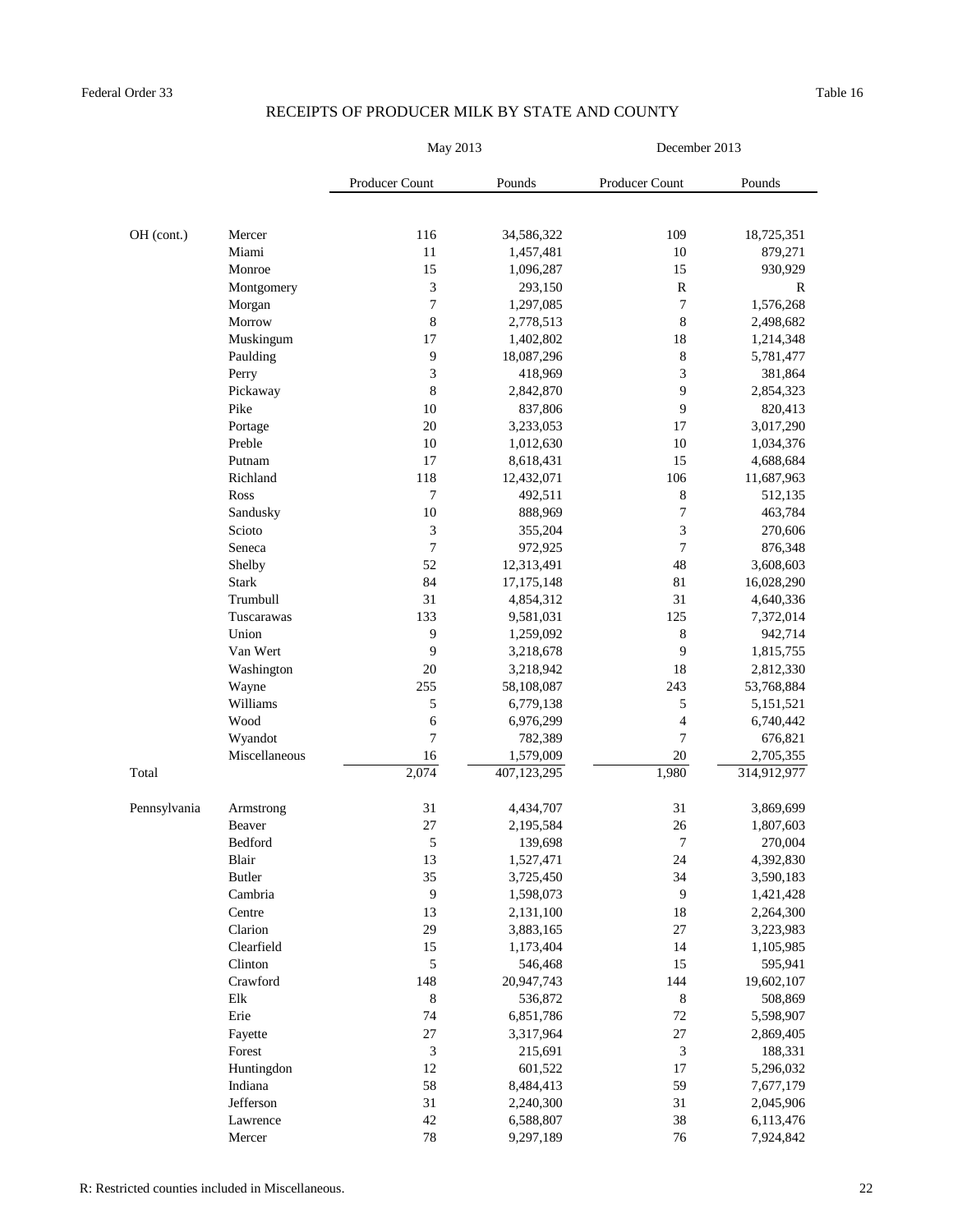|              |               | May 2013       |              | December 2013    |             |  |
|--------------|---------------|----------------|--------------|------------------|-------------|--|
|              |               | Producer Count | Pounds       | Producer Count   | Pounds      |  |
|              |               |                |              |                  |             |  |
| OH (cont.)   | Mercer        | 116            | 34,586,322   | 109              | 18,725,351  |  |
|              | Miami         | 11             | 1,457,481    | 10               | 879,271     |  |
|              | Monroe        | 15             | 1,096,287    | 15               | 930,929     |  |
|              | Montgomery    | 3              | 293,150      | $\mathbf R$      | $\mathbf R$ |  |
|              | Morgan        | $\overline{7}$ | 1,297,085    | $\boldsymbol{7}$ | 1,576,268   |  |
|              | Morrow        | $8\,$          | 2,778,513    | $8\,$            | 2,498,682   |  |
|              | Muskingum     | 17             | 1,402,802    | 18               | 1,214,348   |  |
|              | Paulding      | 9              | 18,087,296   | $8\,$            | 5,781,477   |  |
|              | Perry         | 3              | 418,969      | 3                | 381,864     |  |
|              | Pickaway      | $8\,$          | 2,842,870    | 9                | 2,854,323   |  |
|              | Pike          | 10             | 837,806      | 9                | 820,413     |  |
|              | Portage       | 20             | 3,233,053    | 17               | 3,017,290   |  |
|              | Preble        | 10             | 1,012,630    | 10               | 1,034,376   |  |
|              | Putnam        | 17             | 8,618,431    | 15               | 4,688,684   |  |
|              | Richland      | 118            | 12,432,071   | 106              | 11,687,963  |  |
|              | Ross          | 7              | 492,511      | $8\,$            | 512,135     |  |
|              | Sandusky      | $10\,$         | 888,969      | $\sqrt{ }$       | 463,784     |  |
|              | Scioto        | 3              | 355,204      | 3                | 270,606     |  |
|              | Seneca        | 7              | 972,925      | $\overline{7}$   | 876,348     |  |
|              | Shelby        | 52             | 12,313,491   | 48               | 3,608,603   |  |
|              | <b>Stark</b>  | 84             | 17, 175, 148 | 81               | 16,028,290  |  |
|              | Trumbull      | 31             | 4,854,312    | 31               | 4,640,336   |  |
|              | Tuscarawas    | 133            | 9,581,031    | 125              | 7,372,014   |  |
|              | Union         | 9              | 1,259,092    | 8                | 942,714     |  |
|              | Van Wert      | 9              | 3,218,678    | 9                | 1,815,755   |  |
|              | Washington    | 20             | 3,218,942    | 18               | 2,812,330   |  |
|              | Wayne         | 255            | 58,108,087   | 243              | 53,768,884  |  |
|              | Williams      | 5              | 6,779,138    | 5                | 5,151,521   |  |
|              | Wood          | 6              | 6,976,299    | 4                | 6,740,442   |  |
|              | Wyandot       | 7              | 782,389      | $\overline{7}$   | 676,821     |  |
|              | Miscellaneous | 16             | 1,579,009    | 20               | 2,705,355   |  |
| Total        |               | 2,074          | 407,123,295  | 1,980            | 314,912,977 |  |
| Pennsylvania | Armstrong     | 31             | 4,434,707    | 31               | 3,869,699   |  |
|              | Beaver        | 27             | 2,195,584    | 26               | 1,807,603   |  |
|              | Bedford       | $\mathfrak s$  | 139,698      | $\overline{7}$   | 270,004     |  |
|              | Blair         | 13             | 1,527,471    | 24               | 4,392,830   |  |
|              | <b>Butler</b> | 35             | 3,725,450    | 34               | 3,590,183   |  |
|              | Cambria       | 9              | 1,598,073    | 9                | 1,421,428   |  |
|              | Centre        | 13             | 2,131,100    | 18               | 2,264,300   |  |
|              | Clarion       | 29             | 3,883,165    | $27\,$           |             |  |
|              |               |                |              |                  | 3,223,983   |  |
|              | Clearfield    | 15             | 1,173,404    | 14               | 1,105,985   |  |
|              | Clinton       | 5              | 546,468      | 15               | 595,941     |  |
|              | Crawford      | 148            | 20,947,743   | 144              | 19,602,107  |  |
|              | Elk           | 8              | 536,872      | $8\,$            | 508,869     |  |
|              | Erie          | $74\,$         | 6,851,786    | $72\,$           | 5,598,907   |  |
|              | Fayette       | 27             | 3,317,964    | $27\,$           | 2,869,405   |  |
|              | Forest        | $\mathfrak{Z}$ | 215,691      | 3                | 188,331     |  |
|              | Huntingdon    | 12             | 601,522      | 17               | 5,296,032   |  |
|              | Indiana       | 58             | 8,484,413    | 59               | 7,677,179   |  |
|              | Jefferson     | 31             | 2,240,300    | 31               | 2,045,906   |  |
|              | Lawrence      | 42             | 6,588,807    | 38               | 6,113,476   |  |
|              | Mercer        | 78             | 9,297,189    | 76               | 7,924,842   |  |